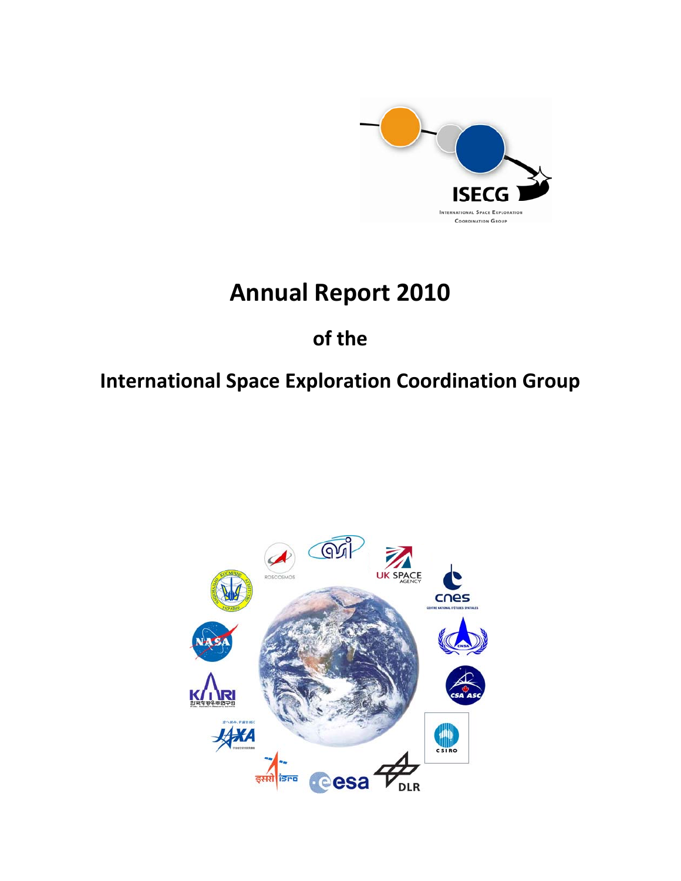

# **Annual Report 2010**

# **of the**

## **International Space Exploration Coordination Group**

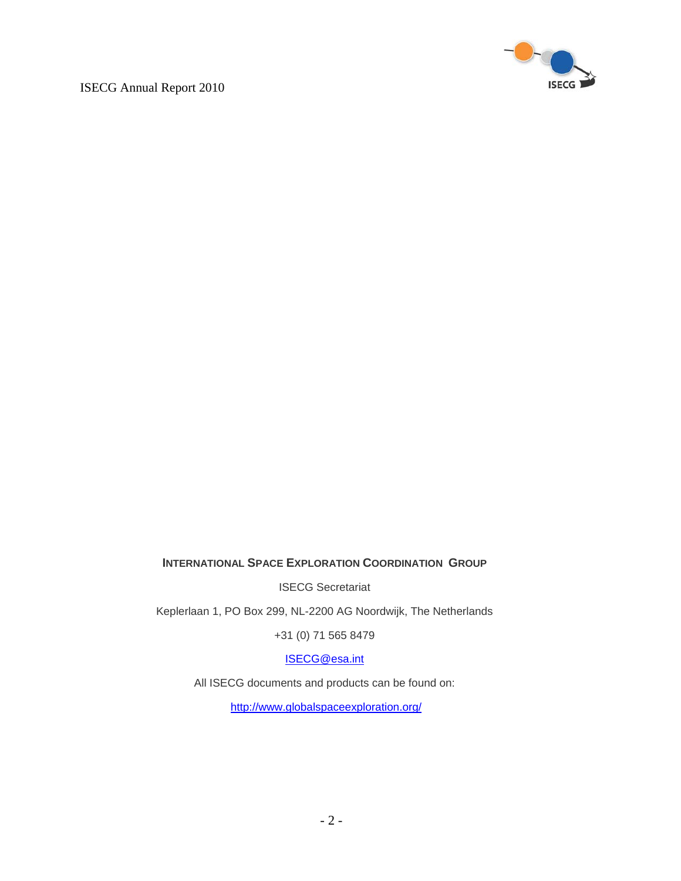

#### **INTERNATIONAL SPACE EXPLORATION COORDINATION GROUP**

ISECG Secretariat

Keplerlaan 1, PO Box 299, NL-2200 AG Noordwijk, The Netherlands

+31 (0) 71 565 8479

[ISECG@esa.int](mailto:ISECG@esa.int)

All ISECG documents and products can be found on:

<http://www.globalspaceexploration.org/>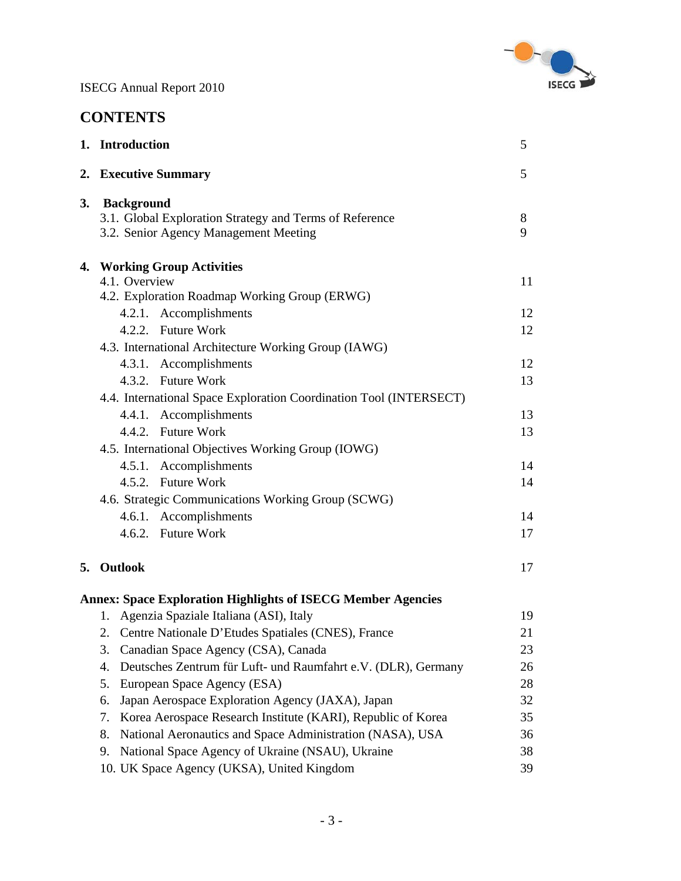

## **CONTENTS**

|           | 1. Introduction                                                     | 5  |
|-----------|---------------------------------------------------------------------|----|
|           | 2. Executive Summary                                                | 5  |
| <b>3.</b> | <b>Background</b>                                                   |    |
|           | 3.1. Global Exploration Strategy and Terms of Reference             | 8  |
|           | 3.2. Senior Agency Management Meeting                               | 9  |
|           | 4. Working Group Activities                                         |    |
|           | 4.1. Overview                                                       | 11 |
|           | 4.2. Exploration Roadmap Working Group (ERWG)                       |    |
|           | 4.2.1. Accomplishments                                              | 12 |
|           | 4.2.2. Future Work                                                  | 12 |
|           | 4.3. International Architecture Working Group (IAWG)                |    |
|           | 4.3.1. Accomplishments                                              | 12 |
|           | 4.3.2. Future Work                                                  | 13 |
|           | 4.4. International Space Exploration Coordination Tool (INTERSECT)  |    |
|           | 4.4.1. Accomplishments                                              | 13 |
|           | 4.4.2. Future Work                                                  | 13 |
|           | 4.5. International Objectives Working Group (IOWG)                  |    |
|           | 4.5.1. Accomplishments                                              | 14 |
|           | 4.5.2. Future Work                                                  | 14 |
|           | 4.6. Strategic Communications Working Group (SCWG)                  |    |
|           | 4.6.1. Accomplishments                                              | 14 |
|           | 4.6.2. Future Work                                                  | 17 |
|           | 5. Outlook                                                          | 17 |
|           |                                                                     |    |
|           | <b>Annex: Space Exploration Highlights of ISECG Member Agencies</b> |    |
|           | 1. Agenzia Spaziale Italiana (ASI), Italy                           | 19 |
|           | 2. Centre Nationale D'Etudes Spatiales (CNES), France               | 21 |
|           | Canadian Space Agency (CSA), Canada<br>3.                           | 23 |
|           | Deutsches Zentrum für Luft- und Raumfahrt e.V. (DLR), Germany<br>4. | 26 |
|           | European Space Agency (ESA)<br>5.                                   | 28 |
|           | Japan Aerospace Exploration Agency (JAXA), Japan<br>6.              | 32 |
|           | 7.<br>Korea Aerospace Research Institute (KARI), Republic of Korea  | 35 |
|           | National Aeronautics and Space Administration (NASA), USA<br>8.     | 36 |
|           | National Space Agency of Ukraine (NSAU), Ukraine<br>9.              | 38 |
|           | 10. UK Space Agency (UKSA), United Kingdom                          | 39 |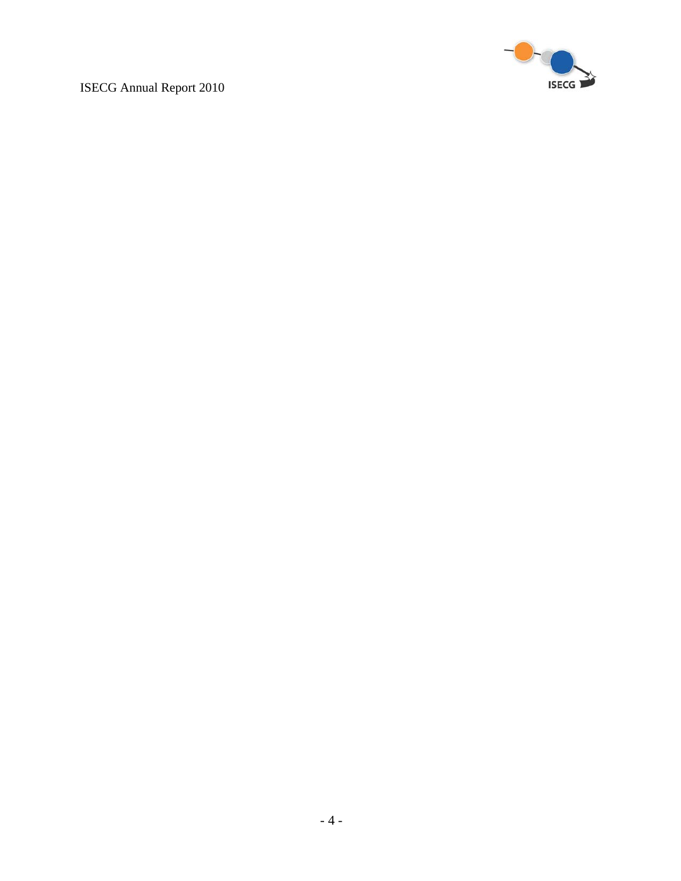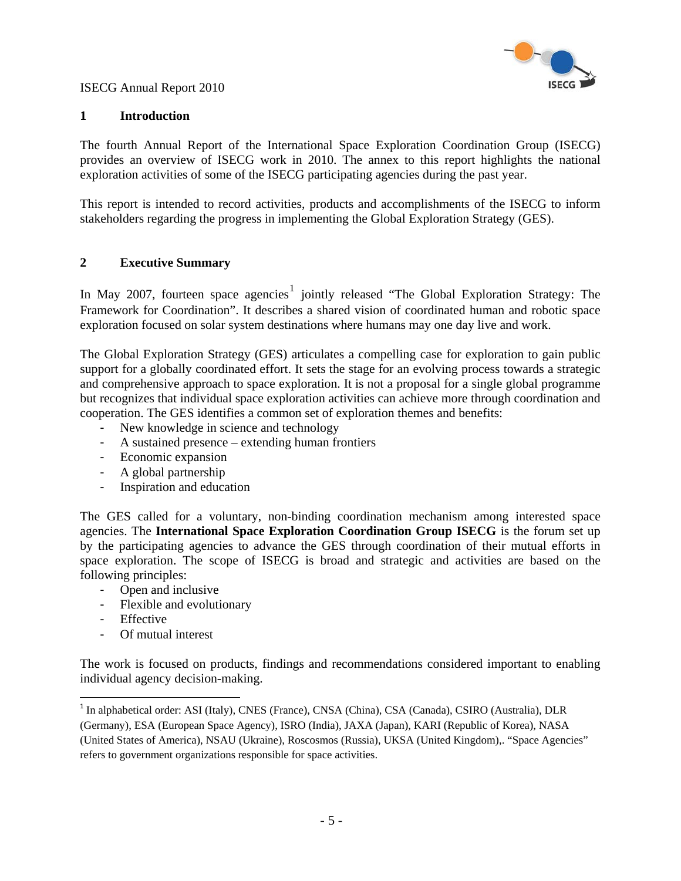

#### **1 Introduction**

The fourth Annual Report of the International Space Exploration Coordination Group (ISECG) provides an overview of ISECG work in 2010. The annex to this report highlights the national exploration activities of some of the ISECG participating agencies during the past year.

This report is intended to record activities, products and accomplishments of the ISECG to inform stakeholders regarding the progress in implementing the Global Exploration Strategy (GES).

#### **2 Executive Summary**

In May 2007, fourteen space agencies i jointly released "The Global Exploration Strategy: The Framework for Coordination". It describes a shared vision of coordinated human and robotic space exploration focused on solar system destinations where humans may one day live and work.

The Global Exploration Strategy (GES) articulates a compelling case for exploration to gain public support for a globally coordinated effort. It sets the stage for an evolving process towards a strategic and comprehensive approach to space exploration. It is not a proposal for a single global programme but recognizes that individual space exploration activities can achieve more through coordination and cooperation. The GES identifies a common set of exploration themes and benefits:

- New knowledge in science and technology
- A sustained presence extending human frontiers
- Economic expansion
- A global partnership
- Inspiration and education

The GES called for a voluntary, non-binding coordination mechanism among interested space agencies. The **International Space Exploration Coordination Group ISECG** is the forum set up by the participating agencies to advance the GES through coordination of their mutual efforts in space exploration. The scope of ISECG is broad and strategic and activities are based on the following principles:

- Open and inclusive
- Flexible and evolutionary
- Effective
- Of mutual interest

The work is focused on products, findings and recommendations considered important to enabling individual agency decision-making.

<span id="page-4-0"></span><sup>&</sup>lt;sup>1</sup> In alphabetical order: ASI (Italy), CNES (France), CNSA (China), CSA (Canada), CSIRO (Australia), DLR (Germany), ESA (European Space Agency), ISRO (India), JAXA (Japan), KARI (Republic of Korea), NASA (United States of America), NSAU (Ukraine), Roscosmos (Russia), UKSA (United Kingdom),. "Space Agencies" refers to government organizations responsible for space activities.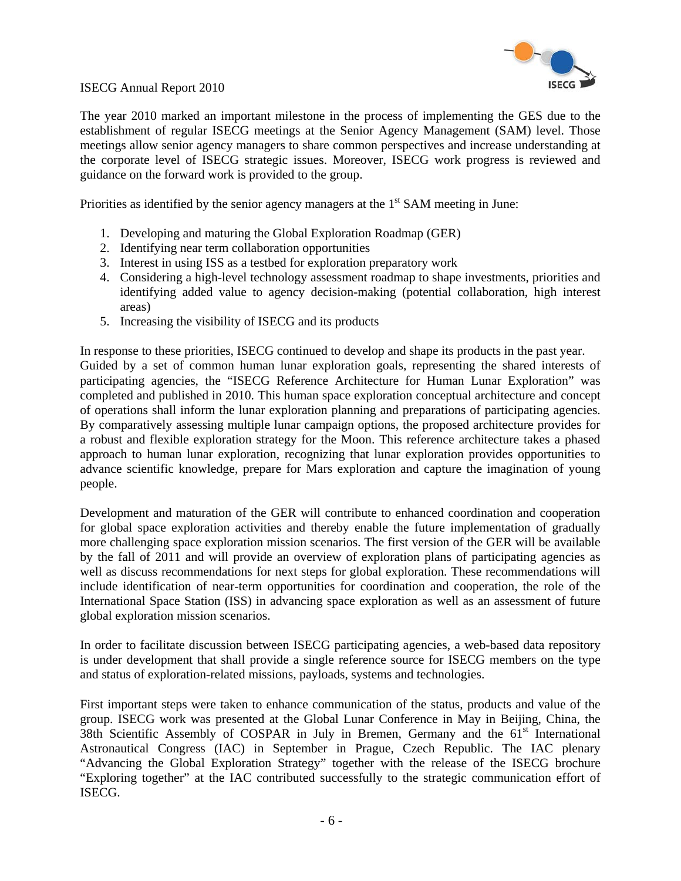

The year 2010 marked an important milestone in the process of implementing the GES due to the establishment of regular ISECG meetings at the Senior Agency Management (SAM) level. Those meetings allow senior agency managers to share common perspectives and increase understanding at the corporate level of ISECG strategic issues. Moreover, ISECG work progress is reviewed and guidance on the forward work is provided to the group.

Priorities as identified by the senior agency managers at the  $1<sup>st</sup>$  SAM meeting in June:

- 1. Developing and maturing the Global Exploration Roadmap (GER)
- 2. Identifying near term collaboration opportunities
- 3. Interest in using ISS as a testbed for exploration preparatory work
- 4. Considering a high-level technology assessment roadmap to shape investments, priorities and identifying added value to agency decision-making (potential collaboration, high interest areas)
- 5. Increasing the visibility of ISECG and its products

In response to these priorities, ISECG continued to develop and shape its products in the past year. Guided by a set of common human lunar exploration goals, representing the shared interests of participating agencies, the "ISECG Reference Architecture for Human Lunar Exploration" was completed and published in 2010. This human space exploration conceptual architecture and concept of operations shall inform the lunar exploration planning and preparations of participating agencies. By comparatively assessing multiple lunar campaign options, the proposed architecture provides for a robust and flexible exploration strategy for the Moon. This reference architecture takes a phased approach to human lunar exploration, recognizing that lunar exploration provides opportunities to advance scientific knowledge, prepare for Mars exploration and capture the imagination of young people.

Development and maturation of the GER will contribute to enhanced coordination and cooperation for global space exploration activities and thereby enable the future implementation of gradually more challenging space exploration mission scenarios. The first version of the GER will be available by the fall of 2011 and will provide an overview of exploration plans of participating agencies as well as discuss recommendations for next steps for global exploration. These recommendations will include identification of near-term opportunities for coordination and cooperation, the role of the International Space Station (ISS) in advancing space exploration as well as an assessment of future global exploration mission scenarios.

In order to facilitate discussion between ISECG participating agencies, a web-based data repository is under development that shall provide a single reference source for ISECG members on the type and status of exploration-related missions, payloads, systems and technologies.

First important steps were taken to enhance communication of the status, products and value of the group. ISECG work was presented at the Global Lunar Conference in May in Beijing, China, the 38th Scientific Assembly of COSPAR in July in Bremen, Germany and the  $61<sup>st</sup>$  International Astronautical Congress (IAC) in September in Prague, Czech Republic. The IAC plenary "Advancing the Global Exploration Strategy" together with the release of the ISECG brochure "Exploring together" at the IAC contributed successfully to the strategic communication effort of ISECG.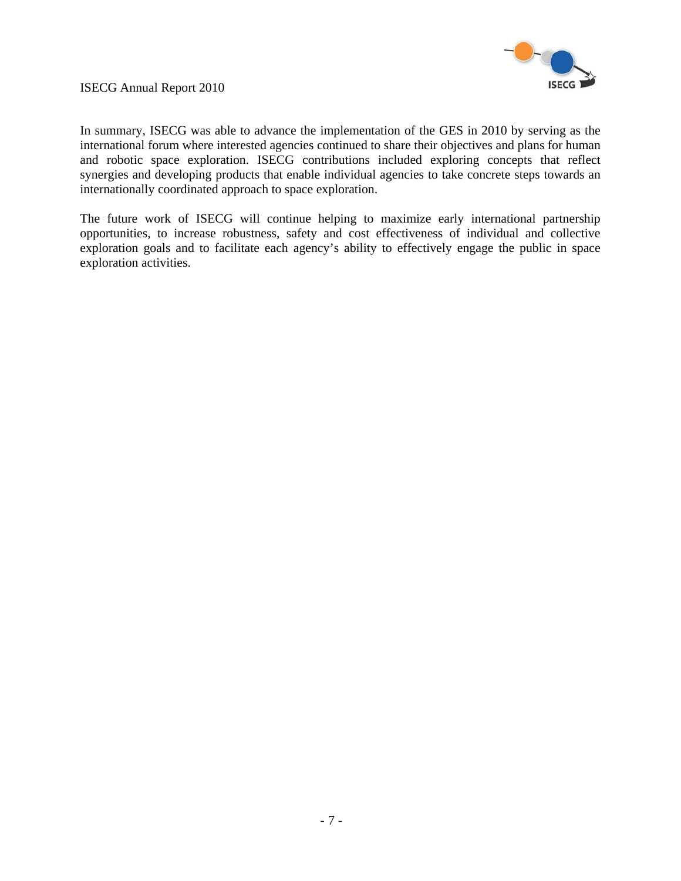

In summary, ISECG was able to advance the implementation of the GES in 2010 by serving as the international forum where interested agencies continued to share their objectives and plans for human and robotic space exploration. ISECG contributions included exploring concepts that reflect synergies and developing products that enable individual agencies to take concrete steps towards an internationally coordinated approach to space exploration.

The future work of ISECG will continue helping to maximize early international partnership opportunities, to increase robustness, safety and cost effectiveness of individual and collective exploration goals and to facilitate each agency's ability to effectively engage the public in space exploration activities.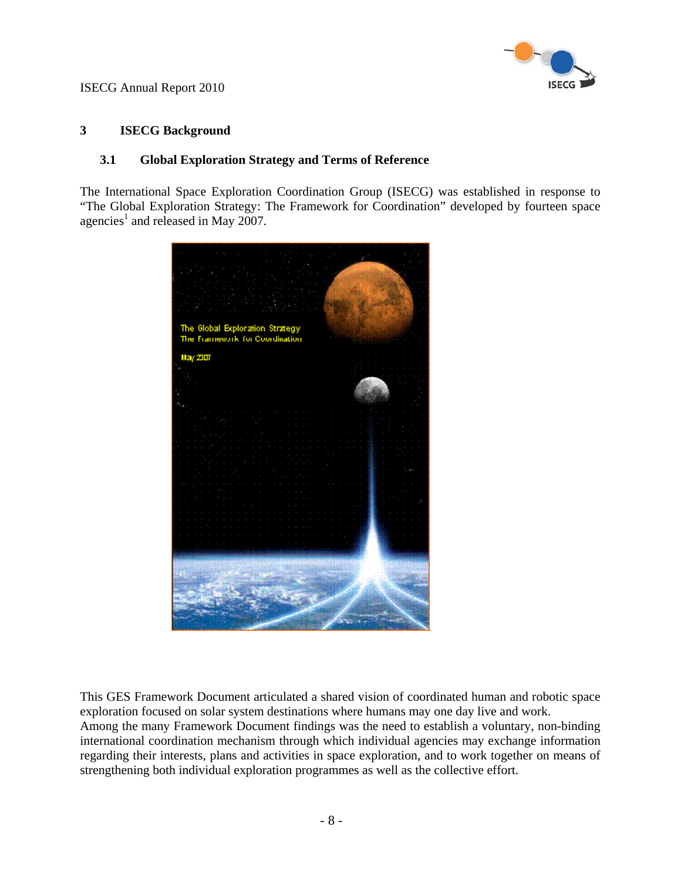

#### **3 ISECG Background**

#### **3.1 Global Exploration Strategy and Terms of Reference**

The International Space Exploration Coordination Group (ISECG) was established in response to "The Global Exploration Strategy: The Framework for Coordination" developed by fourteen space agencies<sup>1</sup> and released in May 2007.



This GES Framework Document articulated a shared vision of coordinated human and robotic space exploration focused on solar system destinations where humans may one day live and work. Among the many Framework Document findings was the need to establish a voluntary, non-binding international coordination mechanism through which individual agencies may exchange information regarding their interests, plans and activities in space exploration, and to work together on means of strengthening both individual exploration programmes as well as the collective effort.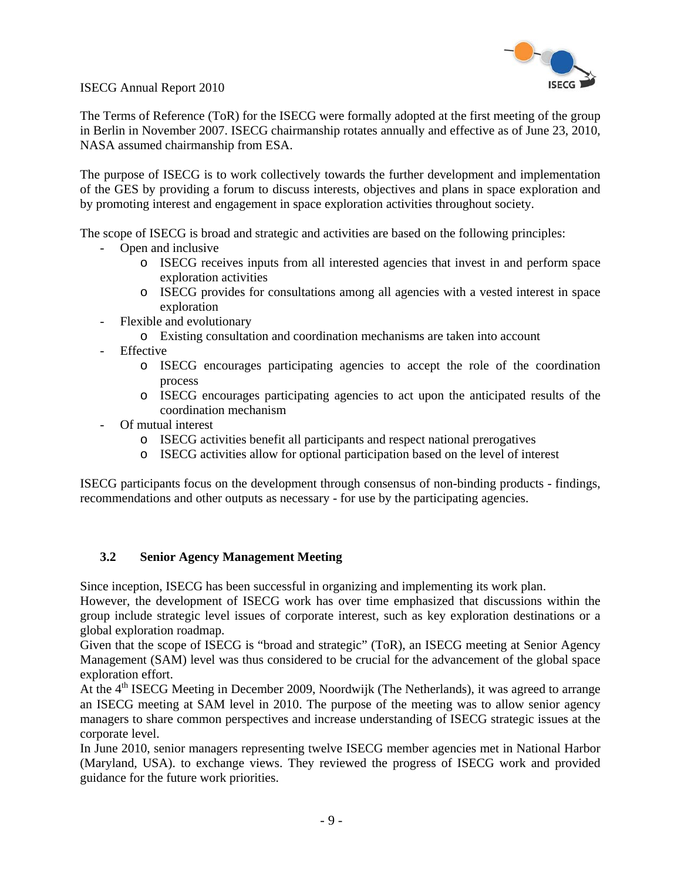

The Terms of Reference (ToR) for the ISECG were formally adopted at the first meeting of the group in Berlin in November 2007. ISECG chairmanship rotates annually and effective as of June 23, 2010, NASA assumed chairmanship from ESA.

The purpose of ISECG is to work collectively towards the further development and implementation of the GES by providing a forum to discuss interests, objectives and plans in space exploration and by promoting interest and engagement in space exploration activities throughout society.

The scope of ISECG is broad and strategic and activities are based on the following principles:

- Open and inclusive
	- o ISECG receives inputs from all interested agencies that invest in and perform space exploration activities
	- o ISECG provides for consultations among all agencies with a vested interest in space exploration
- Flexible and evolutionary
	- o Existing consultation and coordination mechanisms are taken into account
- Effective
	- o ISECG encourages participating agencies to accept the role of the coordination process
	- o ISECG encourages participating agencies to act upon the anticipated results of the coordination mechanism
- Of mutual interest
	- o ISECG activities benefit all participants and respect national prerogatives
	- o ISECG activities allow for optional participation based on the level of interest

ISECG participants focus on the development through consensus of non-binding products - findings, recommendations and other outputs as necessary - for use by the participating agencies.

#### **3.2 Senior Agency Management Meeting**

Since inception, ISECG has been successful in organizing and implementing its work plan.

However, the development of ISECG work has over time emphasized that discussions within the group include strategic level issues of corporate interest, such as key exploration destinations or a global exploration roadmap.

Given that the scope of ISECG is "broad and strategic" (ToR), an ISECG meeting at Senior Agency Management (SAM) level was thus considered to be crucial for the advancement of the global space exploration effort.

At the 4<sup>th</sup> ISECG Meeting in December 2009, Noordwijk (The Netherlands), it was agreed to arrange an ISECG meeting at SAM level in 2010. The purpose of the meeting was to allow senior agency managers to share common perspectives and increase understanding of ISECG strategic issues at the corporate level.

In June 2010, senior managers representing twelve ISECG member agencies met in National Harbor (Maryland, USA). to exchange views. They reviewed the progress of ISECG work and provided guidance for the future work priorities.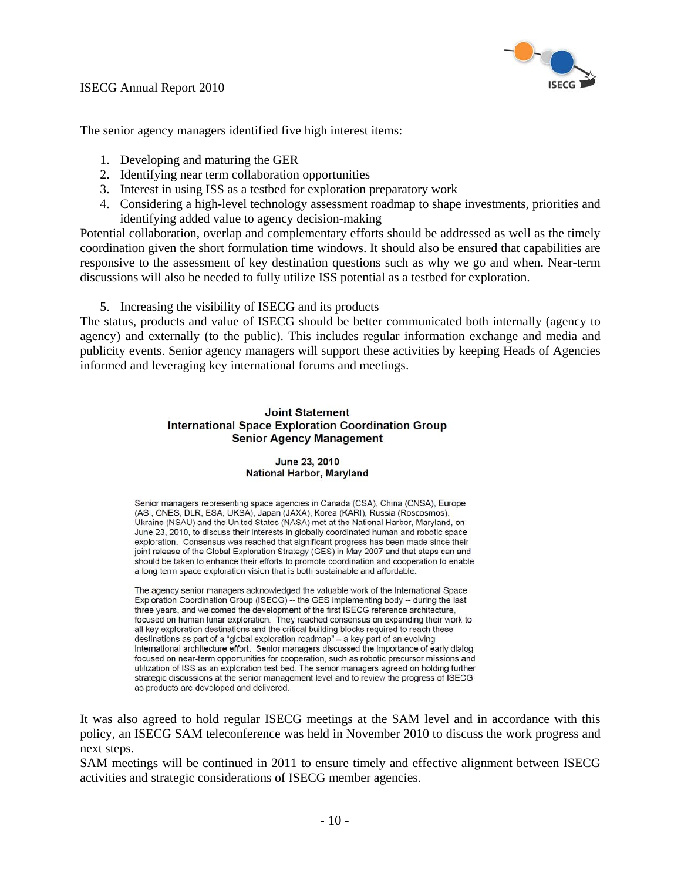

The senior agency managers identified five high interest items:

- 1. Developing and maturing the GER
- 2. Identifying near term collaboration opportunities
- 3. Interest in using ISS as a testbed for exploration preparatory work
- 4. Considering a high-level technology assessment roadmap to shape investments, priorities and identifying added value to agency decision-making

Potential collaboration, overlap and complementary efforts should be addressed as well as the timely coordination given the short formulation time windows. It should also be ensured that capabilities are responsive to the assessment of key destination questions such as why we go and when. Near-term discussions will also be needed to fully utilize ISS potential as a testbed for exploration.

5. Increasing the visibility of ISECG and its products

The status, products and value of ISECG should be better communicated both internally (agency to agency) and externally (to the public). This includes regular information exchange and media and publicity events. Senior agency managers will support these activities by keeping Heads of Agencies informed and leveraging key international forums and meetings.

#### **Joint Statement International Space Exploration Coordination Group Senior Agency Management**

#### June 23, 2010 **National Harbor, Maryland**

Senior managers representing space agencies in Canada (CSA), China (CNSA), Europe (ASI, CNES, DLR, ESA, UKSA), Japan (JAXA), Korea (KARI), Russia (Roscosmos), Ukraine (NSAU) and the United States (NASA) met at the National Harbor, Maryland, on June 23, 2010, to discuss their interests in globally coordinated human and robotic space exploration. Consensus was reached that significant progress has been made since their joint release of the Global Exploration Strategy (GES) in May 2007 and that steps can and should be taken to enhance their efforts to promote coordination and cooperation to enable a long term space exploration vision that is both sustainable and affordable.

The agency senior managers acknowledged the valuable work of the International Space Exploration Coordination Group (ISECG) -- the GES implementing body -- during the last three years, and welcomed the development of the first ISECG reference architecture, focused on human lunar exploration. They reached consensus on expanding their work to all key exploration destinations and the critical building blocks required to reach these destinations as part of a "global exploration roadmap" - a key part of an evolving international architecture effort. Senior managers discussed the importance of early dialog focused on near-term opportunities for cooperation, such as robotic precursor missions and utilization of ISS as an exploration test bed. The senior managers agreed on holding further strategic discussions at the senior management level and to review the progress of ISECG as products are developed and delivered.

It was also agreed to hold regular ISECG meetings at the SAM level and in accordance with this policy, an ISECG SAM teleconference was held in November 2010 to discuss the work progress and next steps.

SAM meetings will be continued in 2011 to ensure timely and effective alignment between ISECG activities and strategic considerations of ISECG member agencies.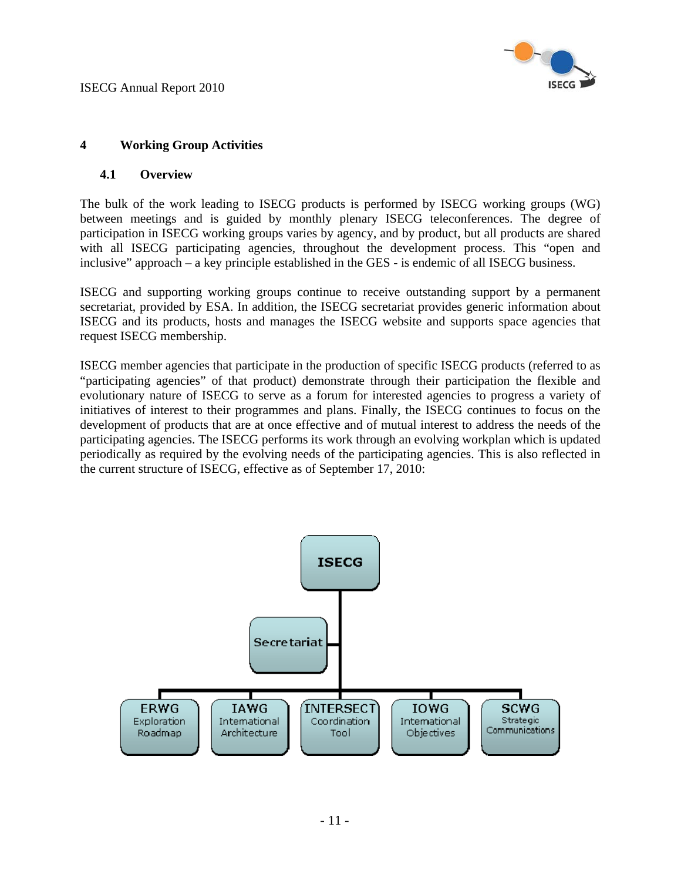

#### **4 Working Group Activities**

#### **4.1 Overview**

The bulk of the work leading to ISECG products is performed by ISECG working groups (WG) between meetings and is guided by monthly plenary ISECG teleconferences. The degree of participation in ISECG working groups varies by agency, and by product, but all products are shared with all ISECG participating agencies, throughout the development process. This "open and inclusive" approach – a key principle established in the GES - is endemic of all ISECG business.

ISECG and supporting working groups continue to receive outstanding support by a permanent secretariat, provided by ESA. In addition, the ISECG secretariat provides generic information about ISECG and its products, hosts and manages the ISECG website and supports space agencies that request ISECG membership.

ISECG member agencies that participate in the production of specific ISECG products (referred to as "participating agencies" of that product) demonstrate through their participation the flexible and evolutionary nature of ISECG to serve as a forum for interested agencies to progress a variety of initiatives of interest to their programmes and plans. Finally, the ISECG continues to focus on the development of products that are at once effective and of mutual interest to address the needs of the participating agencies. The ISECG performs its work through an evolving workplan which is updated periodically as required by the evolving needs of the participating agencies. This is also reflected in the current structure of ISECG, effective as of September 17, 2010:

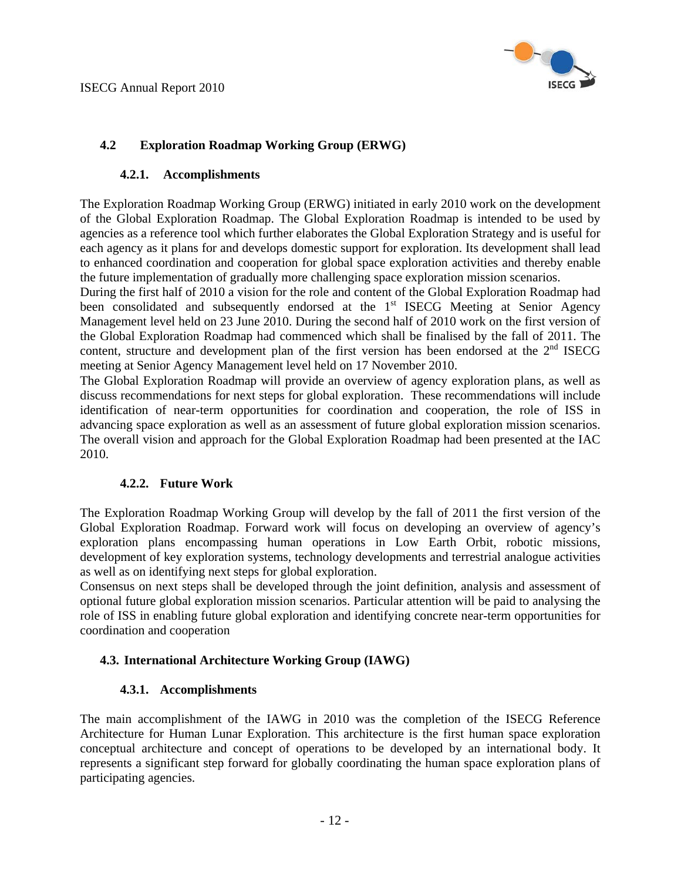

#### **4.2 Exploration Roadmap Working Group (ERWG)**

#### **4.2.1. Accomplishments**

The Exploration Roadmap Working Group (ERWG) initiated in early 2010 work on the development of the Global Exploration Roadmap. The Global Exploration Roadmap is intended to be used by agencies as a reference tool which further elaborates the Global Exploration Strategy and is useful for each agency as it plans for and develops domestic support for exploration. Its development shall lead to enhanced coordination and cooperation for global space exploration activities and thereby enable the future implementation of gradually more challenging space exploration mission scenarios.

During the first half of 2010 a vision for the role and content of the Global Exploration Roadmap had been consolidated and subsequently endorsed at the  $1<sup>st</sup>$  ISECG Meeting at Senior Agency Management level held on 23 June 2010. During the second half of 2010 work on the first version of the Global Exploration Roadmap had commenced which shall be finalised by the fall of 2011. The content, structure and development plan of the first version has been endorsed at the  $2<sup>nd</sup>$  ISECG meeting at Senior Agency Management level held on 17 November 2010.

The Global Exploration Roadmap will provide an overview of agency exploration plans, as well as discuss recommendations for next steps for global exploration. These recommendations will include identification of near-term opportunities for coordination and cooperation, the role of ISS in advancing space exploration as well as an assessment of future global exploration mission scenarios. The overall vision and approach for the Global Exploration Roadmap had been presented at the IAC 2010.

#### **4.2.2. Future Work**

The Exploration Roadmap Working Group will develop by the fall of 2011 the first version of the Global Exploration Roadmap. Forward work will focus on developing an overview of agency's exploration plans encompassing human operations in Low Earth Orbit, robotic missions, development of key exploration systems, technology developments and terrestrial analogue activities as well as on identifying next steps for global exploration.

Consensus on next steps shall be developed through the joint definition, analysis and assessment of optional future global exploration mission scenarios. Particular attention will be paid to analysing the role of ISS in enabling future global exploration and identifying concrete near-term opportunities for coordination and cooperation

#### **4.3. International Architecture Working Group (IAWG)**

#### **4.3.1. Accomplishments**

The main accomplishment of the IAWG in 2010 was the completion of the ISECG Reference Architecture for Human Lunar Exploration. This architecture is the first human space exploration conceptual architecture and concept of operations to be developed by an international body. It represents a significant step forward for globally coordinating the human space exploration plans of participating agencies.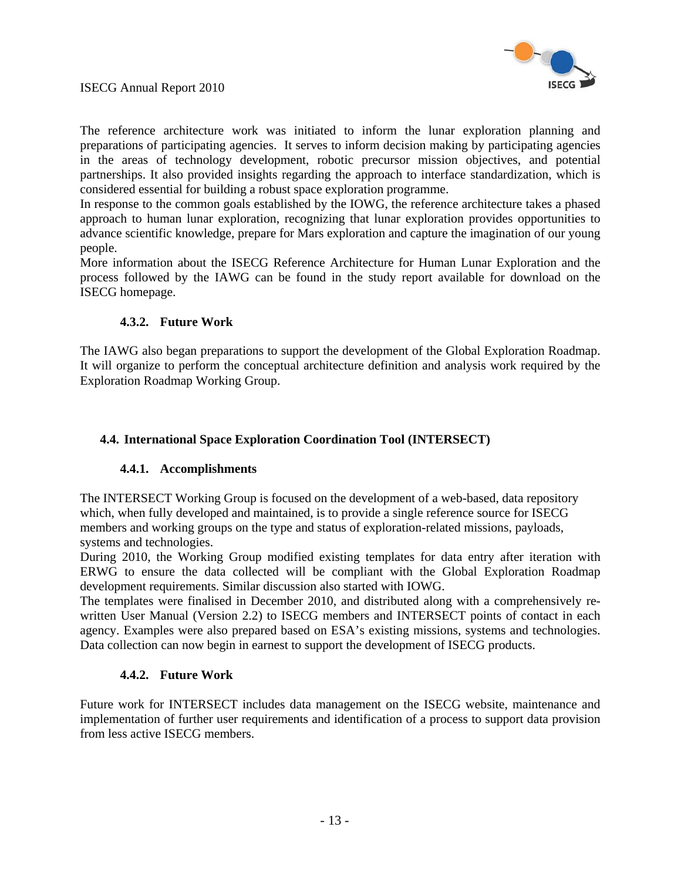



The reference architecture work was initiated to inform the lunar exploration planning and preparations of participating agencies. It serves to inform decision making by participating agencies in the areas of technology development, robotic precursor mission objectives, and potential partnerships. It also provided insights regarding the approach to interface standardization, which is considered essential for building a robust space exploration programme.

In response to the common goals established by the IOWG, the reference architecture takes a phased approach to human lunar exploration, recognizing that lunar exploration provides opportunities to advance scientific knowledge, prepare for Mars exploration and capture the imagination of our young people.

More information about the ISECG Reference Architecture for Human Lunar Exploration and the process followed by the IAWG can be found in the study report available for download on the ISECG homepage.

#### **4.3.2. Future Work**

The IAWG also began preparations to support the development of the Global Exploration Roadmap. It will organize to perform the conceptual architecture definition and analysis work required by the Exploration Roadmap Working Group.

#### **4.4. International Space Exploration Coordination Tool (INTERSECT)**

#### **4.4.1. Accomplishments**

The INTERSECT Working Group is focused on the development of a web-based, data repository which, when fully developed and maintained, is to provide a single reference source for ISECG members and working groups on the type and status of exploration-related missions, payloads, systems and technologies.

During 2010, the Working Group modified existing templates for data entry after iteration with ERWG to ensure the data collected will be compliant with the Global Exploration Roadmap development requirements. Similar discussion also started with IOWG.

The templates were finalised in December 2010, and distributed along with a comprehensively rewritten User Manual (Version 2.2) to ISECG members and INTERSECT points of contact in each agency. Examples were also prepared based on ESA's existing missions, systems and technologies. Data collection can now begin in earnest to support the development of ISECG products.

#### **4.4.2. Future Work**

Future work for INTERSECT includes data management on the ISECG website, maintenance and implementation of further user requirements and identification of a process to support data provision from less active ISECG members.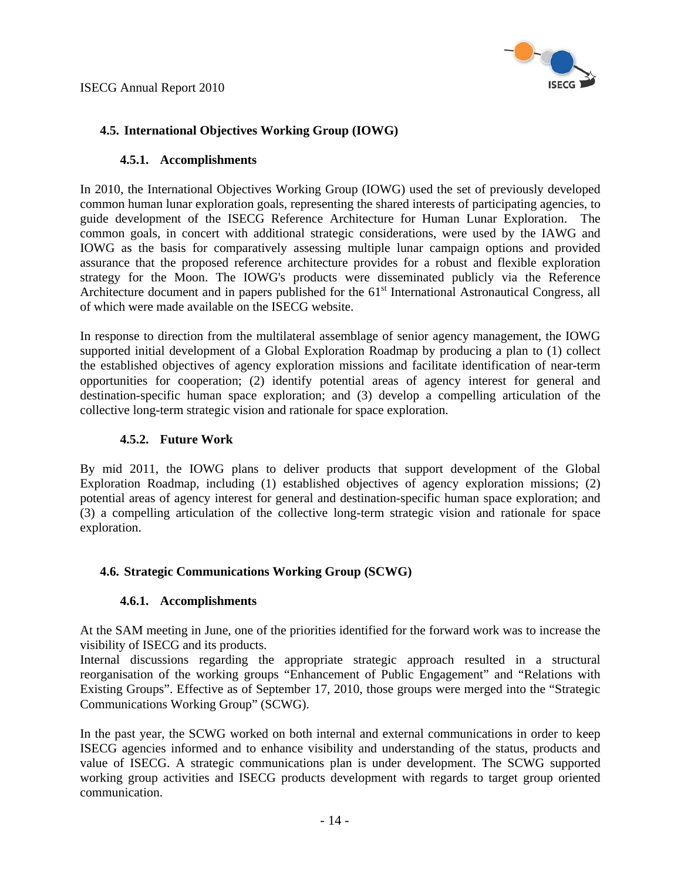

### **4.5. International Objectives Working Group (IOWG)**

#### **4.5.1. Accomplishments**

In 2010, the International Objectives Working Group (IOWG) used the set of previously developed common human lunar exploration goals, representing the shared interests of participating agencies, to guide development of the ISECG Reference Architecture for Human Lunar Exploration. The common goals, in concert with additional strategic considerations, were used by the IAWG and IOWG as the basis for comparatively assessing multiple lunar campaign options and provided assurance that the proposed reference architecture provides for a robust and flexible exploration strategy for the Moon. The IOWG's products were disseminated publicly via the Reference Architecture document and in papers published for the 61<sup>st</sup> International Astronautical Congress, all of which were made available on the ISECG website.

In response to direction from the multilateral assemblage of senior agency management, the IOWG supported initial development of a Global Exploration Roadmap by producing a plan to (1) collect the established objectives of agency exploration missions and facilitate identification of near-term opportunities for cooperation; (2) identify potential areas of agency interest for general and destination-specific human space exploration; and (3) develop a compelling articulation of the collective long-term strategic vision and rationale for space exploration.

#### **4.5.2. Future Work**

By mid 2011, the IOWG plans to deliver products that support development of the Global Exploration Roadmap, including (1) established objectives of agency exploration missions; (2) potential areas of agency interest for general and destination-specific human space exploration; and (3) a compelling articulation of the collective long-term strategic vision and rationale for space exploration.

#### **4.6. Strategic Communications Working Group (SCWG)**

#### **4.6.1. Accomplishments**

At the SAM meeting in June, one of the priorities identified for the forward work was to increase the visibility of ISECG and its products.

Internal discussions regarding the appropriate strategic approach resulted in a structural reorganisation of the working groups "Enhancement of Public Engagement" and "Relations with Existing Groups". Effective as of September 17, 2010, those groups were merged into the "Strategic Communications Working Group" (SCWG).

In the past year, the SCWG worked on both internal and external communications in order to keep ISECG agencies informed and to enhance visibility and understanding of the status, products and value of ISECG. A strategic communications plan is under development. The SCWG supported working group activities and ISECG products development with regards to target group oriented communication.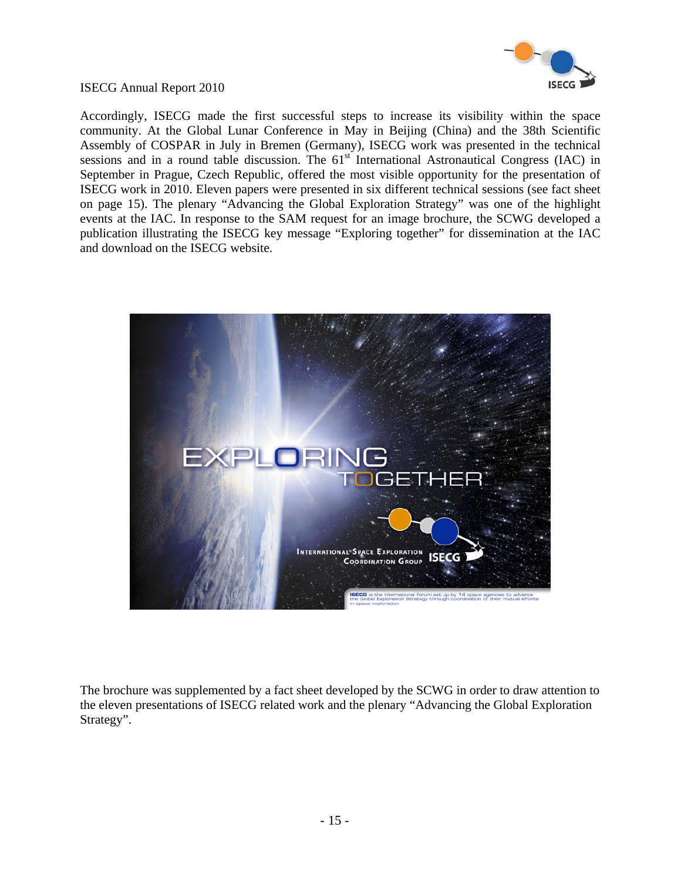

Accordingly, ISECG made the first successful steps to increase its visibility within the space community. At the Global Lunar Conference in May in Beijing (China) and the 38th Scientific Assembly of COSPAR in July in Bremen (Germany), ISECG work was presented in the technical sessions and in a round table discussion. The 61<sup>st</sup> International Astronautical Congress (IAC) in September in Prague, Czech Republic, offered the most visible opportunity for the presentation of ISECG work in 2010. Eleven papers were presented in six different technical sessions (see fact sheet on page 15). The plenary "Advancing the Global Exploration Strategy" was one of the highlight events at the IAC. In response to the SAM request for an image brochure, the SCWG developed a publication illustrating the ISECG key message "Exploring together" for dissemination at the IAC and download on the ISECG website.



The brochure was supplemented by a fact sheet developed by the SCWG in order to draw attention to the eleven presentations of ISECG related work and the plenary "Advancing the Global Exploration Strategy".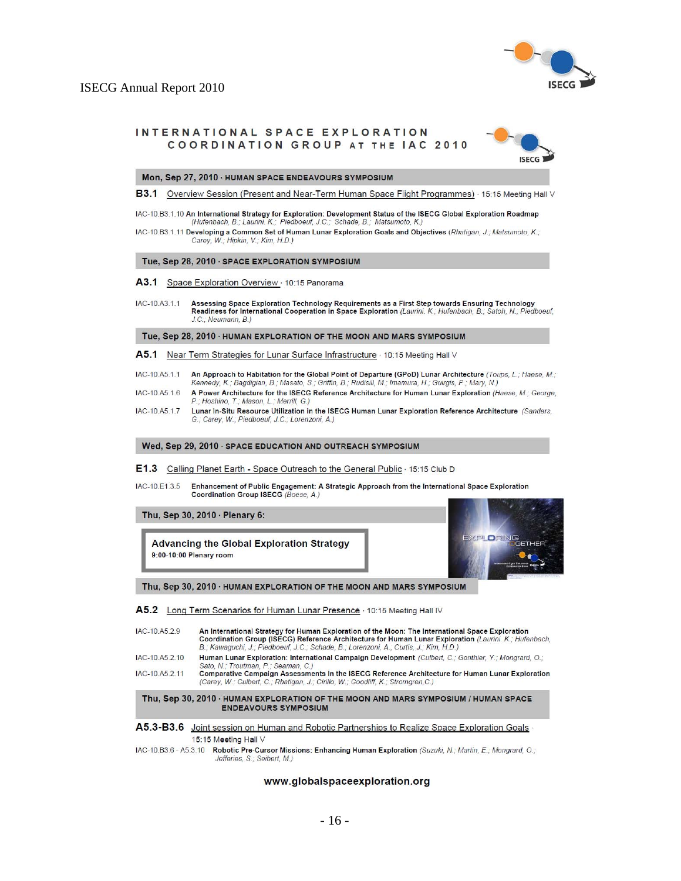

#### INTERNATIONAL SPACE EXPLORATION COORDINATION GROUP AT THE IAC 2010



Mon, Sep 27, 2010 · HUMAN SPACE ENDEAVOURS SYMPOSIUM

B3.1 Overview Session (Present and Near-Term Human Space Flight Programmes) · 15:15 Meeting Hall V

IAC-10.B3.1.10 An International Strategy for Exploration: Development Status of the ISECG Global Exploration Roadmap (Hufenbach, B.; Laurini, K.; Piedboeuf, J.C.; Schade, B.; Matsumoto, K.)

IAC-10.B3.1.11 Developing a Common Set of Human Lunar Exploration Goals and Objectives (Rhatigan, J.; Matsumoto, K.; Carey, W .; Hipkin, V .; Kim, H.D.)

#### Tue, Sep 28, 2010 · SPACE EXPLORATION SYMPOSIUM

A3.1 Space Exploration Overview · 10:15 Panorama

IAC-10.A3.1.1 Assessing Space Exploration Technology Requirements as a First Step towards Ensuring Technology Readiness for International Cooperation in Space Exploration (Laurini, K.; Hufenbach, B.; Satoh, N.; Piedboeuf, J.C.; Neumann, B.)

Tue, Sep 28, 2010 · HUMAN EXPLORATION OF THE MOON AND MARS SYMPOSIUM

A5.1 Near Term Strategies for Lunar Surface Infrastructure · 10:15 Meeting Hall V

- An Approach to Habitation for the Global Point of Departure (GPoD) Lunar Architecture (Toups, L.; Haese, M.; IAC-10.A5.1.1 Kennedy, K.; Bagdigian, B.; Masato, S.; Griffin, B.; Rudisill, M.; Imamura, H.; Guirgis, P.; Mary, N.)
- A Power Architecture for the ISECG Reference Architecture for Human Lunar Exploration (Haese, M.; George, IAC-10.A5.1.6 P.; Hoshino, T.; Mason, L.; Merrill, G.)
- IAC-10.A5.1.7 Lunar In-Situ Resource Utilization in the ISECG Human Lunar Exploration Reference Architecture (Sanders, G.; Carey, W.; Piedboeuf, J.C.; Lorenzoni, A.)

#### Wed, Sep 29, 2010 · SPACE EDUCATION AND OUTREACH SYMPOSIUM

E1.3 Calling Planet Earth - Space Outreach to the General Public . 15:15 Club D

Enhancement of Public Engagement: A Strategic Approach from the International Space Exploration IAC-10.E1.3.5 Coordination Group ISECG (Boese, A.)

Thu, Sep 30, 2010 · Plenary 6:

**Advancing the Global Exploration Strategy** 9:00-10:00 Plenary room



Thu, Sep 30, 2010 · HUMAN EXPLORATION OF THE MOON AND MARS SYMPOSIUM

A5.2 Long Term Scenarios for Human Lunar Presence · 10:15 Meeting Hall IV

IAC-10.A5.2.9 An International Strategy for Human Exploration of the Moon: The International Space Exploration Coordination Group (ISECG) Reference Architecture for Human Lunar Exploration (Laurini, K.; Hufenbach, B.; Kawaguchi, J.; Piedboeuf, J.C.; Schade, B.; Lorenzoni, A.; Curtis, J.; Kim, H.D.)

IAC-10.A5.2.10 Human Lunar Exploration: International Campaign Development (Culbert, C.; Gonthier, Y.; Mongrard, O.;

Sato, N.; Troutman, P.; Seaman, C.)<br>Comparative Campaign Assessments In the ISECG Reference Architecture for Human Lunar Exploration (Carey, W.; Culbert, C.; Rhatigan, J.; Cirillo, W.; Goodliff, K.; Stromgren, C.) IAC-10.A5.2.11

Thu, Sep 30, 2010 · HUMAN EXPLORATION OF THE MOON AND MARS SYMPOSIUM / HUMAN SPACE **ENDEAVOURS SYMPOSIUM** 

A5.3-B3.6 Joint session on Human and Robotic Partnerships to Realize Space Exploration Goals . 15:15 Meeting Hall V

IAC-10.B3.6 - A5.3.10 Robotic Pre-Cursor Missions: Enhancing Human Exploration (Suzuki, N.; Martin, E.; Mongrard, O.; Jefferies, S.; Seibert, M.)

#### www.globalspaceexploration.org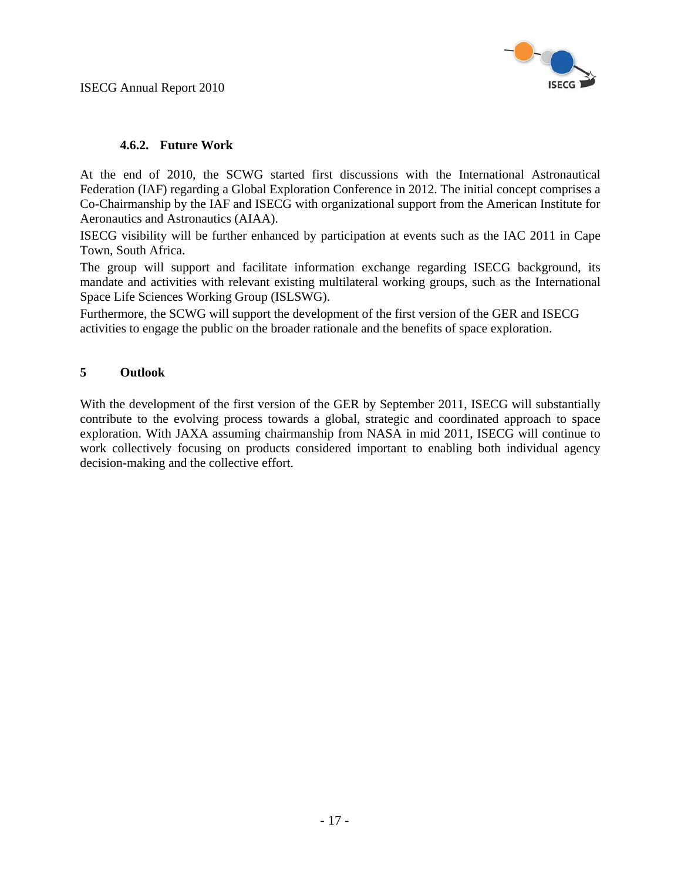

#### **4.6.2. Future Work**

At the end of 2010, the SCWG started first discussions with the International Astronautical Federation (IAF) regarding a Global Exploration Conference in 2012. The initial concept comprises a Co-Chairmanship by the IAF and ISECG with organizational support from the American Institute for Aeronautics and Astronautics (AIAA).

ISECG visibility will be further enhanced by participation at events such as the IAC 2011 in Cape Town, South Africa.

The group will support and facilitate information exchange regarding ISECG background, its mandate and activities with relevant existing multilateral working groups, such as the International Space Life Sciences Working Group (ISLSWG).

Furthermore, the SCWG will support the development of the first version of the GER and ISECG activities to engage the public on the broader rationale and the benefits of space exploration.

#### **5 Outlook**

With the development of the first version of the GER by September 2011, ISECG will substantially contribute to the evolving process towards a global, strategic and coordinated approach to space exploration. With JAXA assuming chairmanship from NASA in mid 2011, ISECG will continue to work collectively focusing on products considered important to enabling both individual agency decision-making and the collective effort.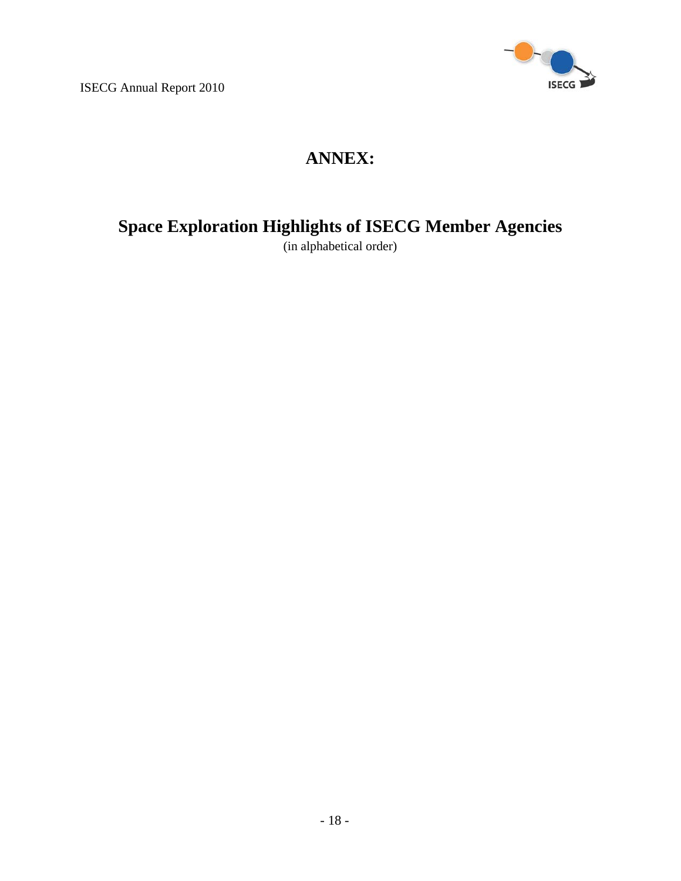

## **ANNEX:**

## **Space Exploration Highlights of ISECG Member Agencies**

(in alphabetical order)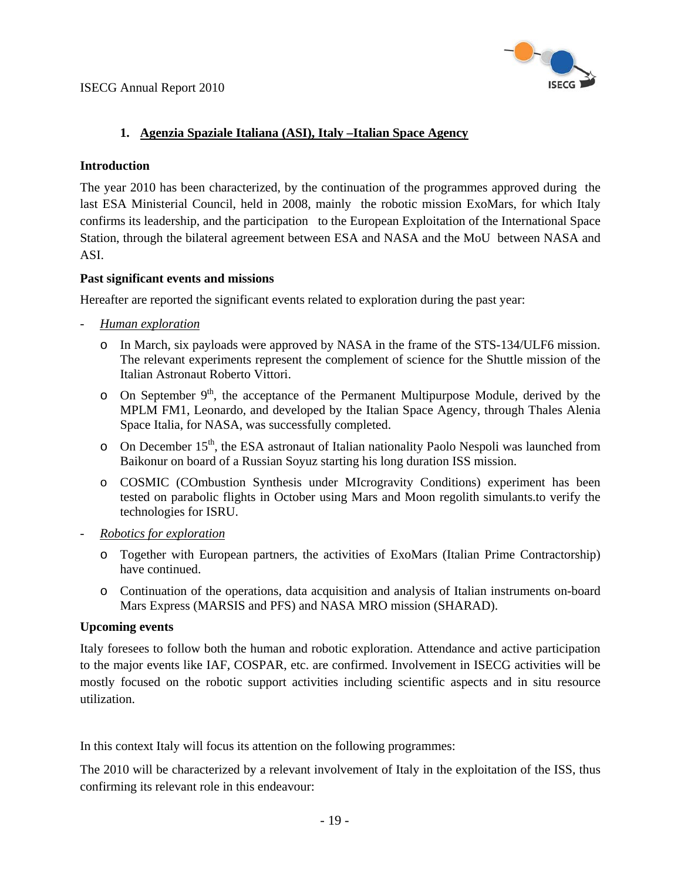

### **1. Agenzia Spaziale Italiana (ASI), Italy –Italian Space Agency**

#### **Introduction**

The year 2010 has been characterized, by the continuation of the programmes approved during the last ESA Ministerial Council, held in 2008, mainly the robotic mission ExoMars, for which Italy confirms its leadership, and the participation to the European Exploitation of the International Space Station, through the bilateral agreement between ESA and NASA and the MoU between NASA and ASI.

#### **Past significant events and missions**

Hereafter are reported the significant events related to exploration during the past year:

- *Human exploration*
	- o In March, six payloads were approved by NASA in the frame of the STS-134/ULF6 mission. The relevant experiments represent the complement of science for the Shuttle mission of the Italian Astronaut Roberto Vittori.
	- $\circ$  On September 9<sup>th</sup>, the acceptance of the Permanent Multipurpose Module, derived by the MPLM FM1, Leonardo, and developed by the Italian Space Agency, through Thales Alenia Space Italia, for NASA, was successfully completed.
	- $\circ$  On December 15<sup>th</sup>, the ESA astronaut of Italian nationality Paolo Nespoli was launched from Baikonur on board of a Russian Soyuz starting his long duration ISS mission.
	- o COSMIC (COmbustion Synthesis under MIcrogravity Conditions) experiment has been tested on parabolic flights in October using Mars and Moon regolith simulants.to verify the technologies for ISRU.
- *Robotics for exploration*
	- o Together with European partners, the activities of ExoMars (Italian Prime Contractorship) have continued.
	- o Continuation of the operations, data acquisition and analysis of Italian instruments on-board Mars Express (MARSIS and PFS) and NASA MRO mission (SHARAD).

#### **Upcoming events**

Italy foresees to follow both the human and robotic exploration. Attendance and active participation to the major events like IAF, COSPAR, etc. are confirmed. Involvement in ISECG activities will be mostly focused on the robotic support activities including scientific aspects and in situ resource utilization.

In this context Italy will focus its attention on the following programmes:

The 2010 will be characterized by a relevant involvement of Italy in the exploitation of the ISS, thus confirming its relevant role in this endeavour: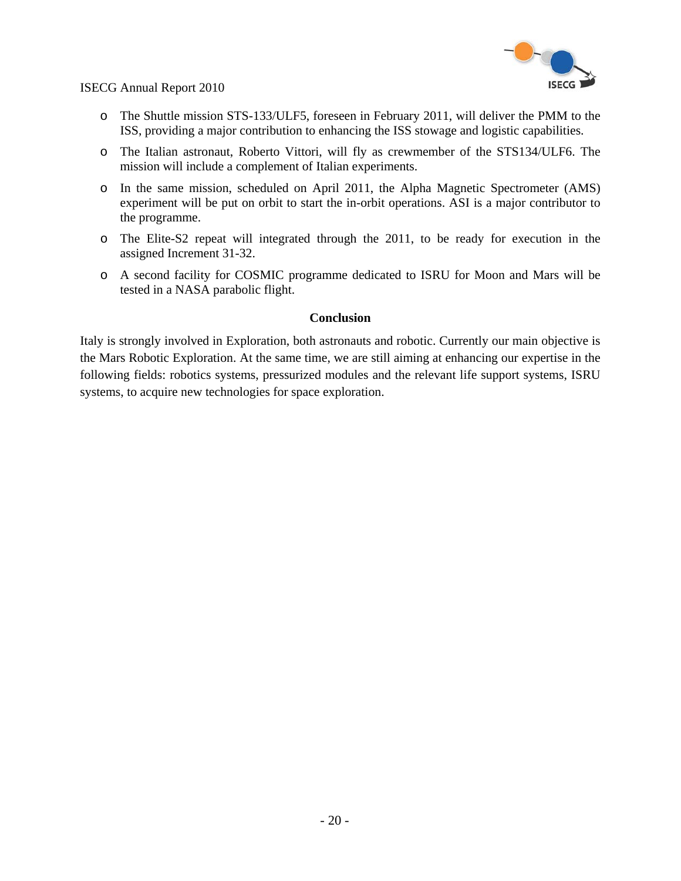

- o The Shuttle mission STS-133/ULF5, foreseen in February 2011, will deliver the PMM to the ISS, providing a major contribution to enhancing the ISS stowage and logistic capabilities.
- o The Italian astronaut, Roberto Vittori, will fly as crewmember of the STS134/ULF6. The mission will include a complement of Italian experiments.
- o In the same mission, scheduled on April 2011, the Alpha Magnetic Spectrometer (AMS) experiment will be put on orbit to start the in-orbit operations. ASI is a major contributor to the programme.
- o The Elite-S2 repeat will integrated through the 2011, to be ready for execution in the assigned Increment 31-32.
- o A second facility for COSMIC programme dedicated to ISRU for Moon and Mars will be tested in a NASA parabolic flight.

#### **Conclusion**

Italy is strongly involved in Exploration, both astronauts and robotic. Currently our main objective is the Mars Robotic Exploration. At the same time, we are still aiming at enhancing our expertise in the following fields: robotics systems, pressurized modules and the relevant life support systems, ISRU systems, to acquire new technologies for space exploration.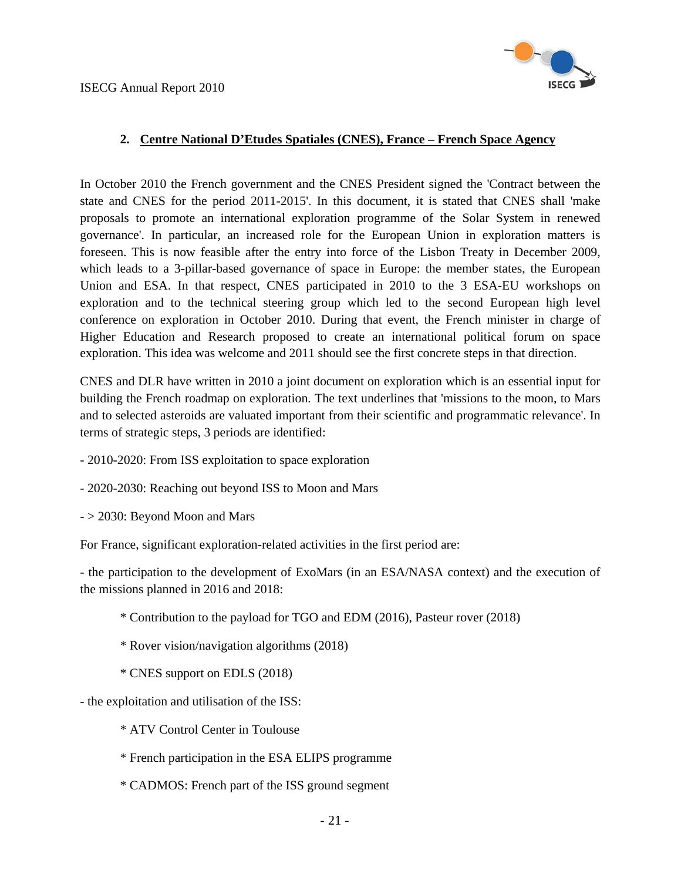

#### **2. Centre National D'Etudes Spatiales (CNES), France – French Space Agency**

In October 2010 the French government and the CNES President signed the 'Contract between the state and CNES for the period 2011-2015'. In this document, it is stated that CNES shall 'make proposals to promote an international exploration programme of the Solar System in renewed governance'. In particular, an increased role for the European Union in exploration matters is foreseen. This is now feasible after the entry into force of the Lisbon Treaty in December 2009, which leads to a 3-pillar-based governance of space in Europe: the member states, the European Union and ESA. In that respect, CNES participated in 2010 to the 3 ESA-EU workshops on exploration and to the technical steering group which led to the second European high level conference on exploration in October 2010. During that event, the French minister in charge of Higher Education and Research proposed to create an international political forum on space exploration. This idea was welcome and 2011 should see the first concrete steps in that direction.

CNES and DLR have written in 2010 a joint document on exploration which is an essential input for building the French roadmap on exploration. The text underlines that 'missions to the moon, to Mars and to selected asteroids are valuated important from their scientific and programmatic relevance'. In terms of strategic steps, 3 periods are identified:

- 2010-2020: From ISS exploitation to space exploration
- 2020-2030: Reaching out beyond ISS to Moon and Mars
- > 2030: Beyond Moon and Mars

For France, significant exploration-related activities in the first period are:

- the participation to the development of ExoMars (in an ESA/NASA context) and the execution of the missions planned in 2016 and 2018:

- \* Contribution to the payload for TGO and EDM (2016), Pasteur rover (2018)
- \* Rover vision/navigation algorithms (2018)
- \* CNES support on EDLS (2018)
- the exploitation and utilisation of the ISS:
	- \* ATV Control Center in Toulouse
	- \* French participation in the ESA ELIPS programme
	- \* CADMOS: French part of the ISS ground segment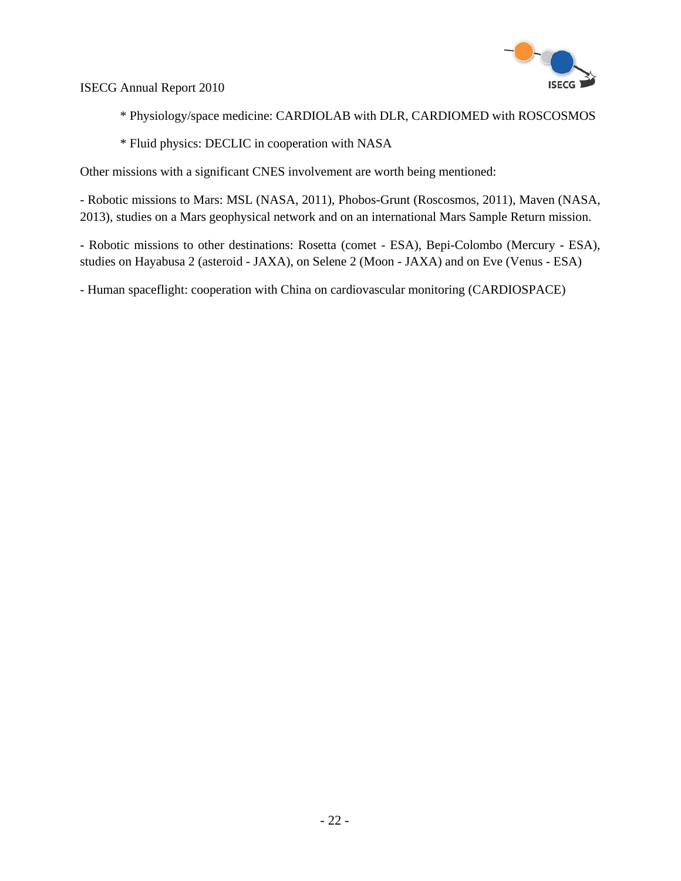

- \* Physiology/space medicine: CARDIOLAB with DLR, CARDIOMED with ROSCOSMOS
- \* Fluid physics: DECLIC in cooperation with NASA

Other missions with a significant CNES involvement are worth being mentioned:

- Robotic missions to Mars: MSL (NASA, 2011), Phobos-Grunt (Roscosmos, 2011), Maven (NASA, 2013), studies on a Mars geophysical network and on an international Mars Sample Return mission.

- Robotic missions to other destinations: Rosetta (comet - ESA), Bepi-Colombo (Mercury - ESA), studies on Hayabusa 2 (asteroid - JAXA), on Selene 2 (Moon - JAXA) and on Eve (Venus - ESA)

- Human spaceflight: cooperation with China on cardiovascular monitoring (CARDIOSPACE)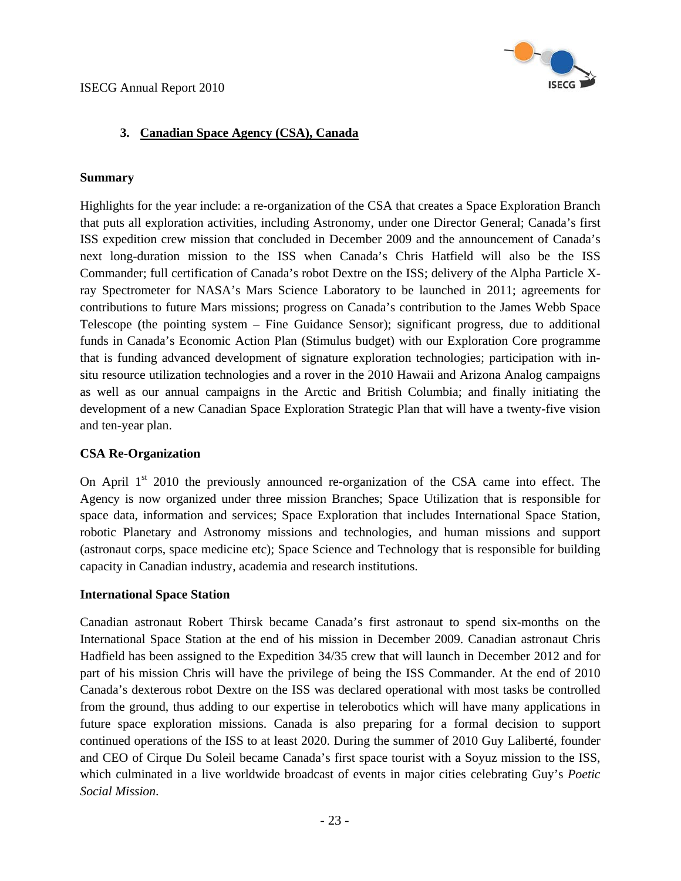

#### **3. Canadian Space Agency (CSA), Canada**

#### **Summary**

Highlights for the year include: a re-organization of the CSA that creates a Space Exploration Branch that puts all exploration activities, including Astronomy, under one Director General; Canada's first ISS expedition crew mission that concluded in December 2009 and the announcement of Canada's next long-duration mission to the ISS when Canada's Chris Hatfield will also be the ISS Commander; full certification of Canada's robot Dextre on the ISS; delivery of the Alpha Particle Xray Spectrometer for NASA's Mars Science Laboratory to be launched in 2011; agreements for contributions to future Mars missions; progress on Canada's contribution to the James Webb Space Telescope (the pointing system – Fine Guidance Sensor); significant progress, due to additional funds in Canada's Economic Action Plan (Stimulus budget) with our Exploration Core programme that is funding advanced development of signature exploration technologies; participation with insitu resource utilization technologies and a rover in the 2010 Hawaii and Arizona Analog campaigns as well as our annual campaigns in the Arctic and British Columbia; and finally initiating the development of a new Canadian Space Exploration Strategic Plan that will have a twenty-five vision and ten-year plan.

#### **CSA Re-Organization**

On April  $1<sup>st</sup>$  2010 the previously announced re-organization of the CSA came into effect. The Agency is now organized under three mission Branches; Space Utilization that is responsible for space data, information and services; Space Exploration that includes International Space Station, robotic Planetary and Astronomy missions and technologies, and human missions and support (astronaut corps, space medicine etc); Space Science and Technology that is responsible for building capacity in Canadian industry, academia and research institutions.

#### **International Space Station**

Canadian astronaut Robert Thirsk became Canada's first astronaut to spend six-months on the International Space Station at the end of his mission in December 2009. Canadian astronaut Chris Hadfield has been assigned to the Expedition 34/35 crew that will launch in December 2012 and for part of his mission Chris will have the privilege of being the ISS Commander. At the end of 2010 Canada's dexterous robot Dextre on the ISS was declared operational with most tasks be controlled from the ground, thus adding to our expertise in telerobotics which will have many applications in future space exploration missions. Canada is also preparing for a formal decision to support continued operations of the ISS to at least 2020. During the summer of 2010 Guy Laliberté, founder and CEO of Cirque Du Soleil became Canada's first space tourist with a Soyuz mission to the ISS, which culminated in a live worldwide broadcast of events in major cities celebrating Guy's *Poetic Social Mission*.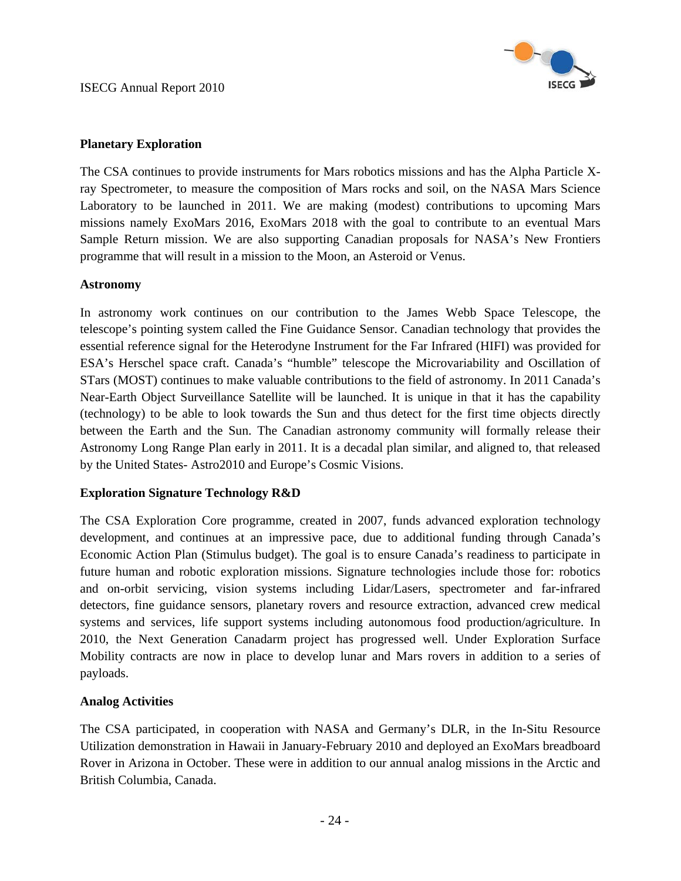

#### **Planetary Exploration**

The CSA continues to provide instruments for Mars robotics missions and has the Alpha Particle Xray Spectrometer, to measure the composition of Mars rocks and soil, on the NASA Mars Science Laboratory to be launched in 2011. We are making (modest) contributions to upcoming Mars missions namely ExoMars 2016, ExoMars 2018 with the goal to contribute to an eventual Mars Sample Return mission. We are also supporting Canadian proposals for NASA's New Frontiers programme that will result in a mission to the Moon, an Asteroid or Venus.

#### **Astronomy**

In astronomy work continues on our contribution to the James Webb Space Telescope, the telescope's pointing system called the Fine Guidance Sensor. Canadian technology that provides the essential reference signal for the Heterodyne Instrument for the Far Infrared (HIFI) was provided for ESA's Herschel space craft. Canada's "humble" telescope the Microvariability and Oscillation of STars (MOST) continues to make valuable contributions to the field of astronomy. In 2011 Canada's Near-Earth Object Surveillance Satellite will be launched. It is unique in that it has the capability (technology) to be able to look towards the Sun and thus detect for the first time objects directly between the Earth and the Sun. The Canadian astronomy community will formally release their Astronomy Long Range Plan early in 2011. It is a decadal plan similar, and aligned to, that released by the United States- Astro2010 and Europe's Cosmic Visions.

#### **Exploration Signature Technology R&D**

The CSA Exploration Core programme, created in 2007, funds advanced exploration technology development, and continues at an impressive pace, due to additional funding through Canada's Economic Action Plan (Stimulus budget). The goal is to ensure Canada's readiness to participate in future human and robotic exploration missions. Signature technologies include those for: robotics and on-orbit servicing, vision systems including Lidar/Lasers, spectrometer and far-infrared detectors, fine guidance sensors, planetary rovers and resource extraction, advanced crew medical systems and services, life support systems including autonomous food production/agriculture. In 2010, the Next Generation Canadarm project has progressed well. Under Exploration Surface Mobility contracts are now in place to develop lunar and Mars rovers in addition to a series of payloads.

#### **Analog Activities**

The CSA participated, in cooperation with NASA and Germany's DLR, in the In-Situ Resource Utilization demonstration in Hawaii in January-February 2010 and deployed an ExoMars breadboard Rover in Arizona in October. These were in addition to our annual analog missions in the Arctic and British Columbia, Canada.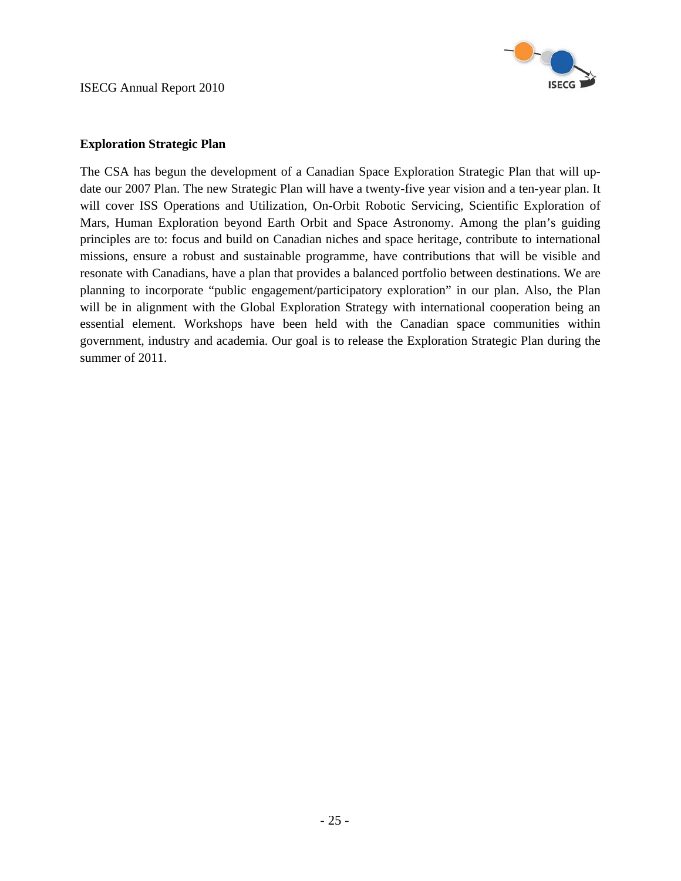

#### **Exploration Strategic Plan**

The CSA has begun the development of a Canadian Space Exploration Strategic Plan that will update our 2007 Plan. The new Strategic Plan will have a twenty-five year vision and a ten-year plan. It will cover ISS Operations and Utilization, On-Orbit Robotic Servicing, Scientific Exploration of Mars, Human Exploration beyond Earth Orbit and Space Astronomy. Among the plan's guiding principles are to: focus and build on Canadian niches and space heritage, contribute to international missions, ensure a robust and sustainable programme, have contributions that will be visible and resonate with Canadians, have a plan that provides a balanced portfolio between destinations. We are planning to incorporate "public engagement/participatory exploration" in our plan. Also, the Plan will be in alignment with the Global Exploration Strategy with international cooperation being an essential element. Workshops have been held with the Canadian space communities within government, industry and academia. Our goal is to release the Exploration Strategic Plan during the summer of 2011.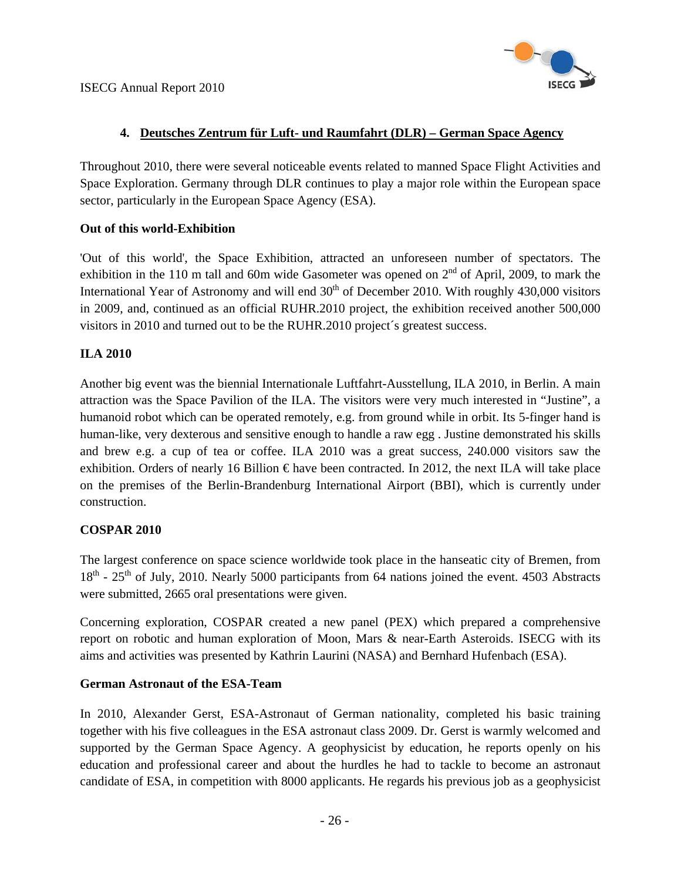

### **4. Deutsches Zentrum für Luft- und Raumfahrt (DLR) – German Space Agency**

Throughout 2010, there were several noticeable events related to manned Space Flight Activities and Space Exploration. Germany through DLR continues to play a major role within the European space sector, particularly in the European Space Agency (ESA).

#### **Out of this world-Exhibition**

'Out of this world', the Space Exhibition, attracted an unforeseen number of spectators. The exhibition in the 110 m tall and 60m wide Gasometer was opened on  $2<sup>nd</sup>$  of April, 2009, to mark the International Year of Astronomy and will end  $30<sup>th</sup>$  of December 2010. With roughly 430,000 visitors in 2009, and, continued as an official RUHR.2010 project, the exhibition received another 500,000 visitors in 2010 and turned out to be the RUHR.2010 project´s greatest success.

#### **ILA 2010**

Another big event was the biennial Internationale Luftfahrt-Ausstellung, ILA 2010, in Berlin. A main attraction was the Space Pavilion of the ILA. The visitors were very much interested in "Justine", a humanoid robot which can be operated remotely, e.g. from ground while in orbit. Its 5-finger hand is human-like, very dexterous and sensitive enough to handle a raw egg . Justine demonstrated his skills and brew e.g. a cup of tea or coffee. ILA 2010 was a great success, 240.000 visitors saw the exhibition. Orders of nearly 16 Billion  $\epsilon$  have been contracted. In 2012, the next ILA will take place on the premises of the Berlin-Brandenburg International Airport (BBI), which is currently under construction.

#### **COSPAR 2010**

The largest conference on space science worldwide took place in the hanseatic city of Bremen, from  $18<sup>th</sup>$  - 25<sup>th</sup> of July, 2010. Nearly 5000 participants from 64 nations joined the event. 4503 Abstracts were submitted, 2665 oral presentations were given.

Concerning exploration, COSPAR created a new panel (PEX) which prepared a comprehensive report on robotic and human exploration of Moon, Mars & near-Earth Asteroids. ISECG with its aims and activities was presented by Kathrin Laurini (NASA) and Bernhard Hufenbach (ESA).

#### **German Astronaut of the ESA-Team**

In 2010, Alexander Gerst, ESA-Astronaut of German nationality, completed his basic training together with his five colleagues in the ESA astronaut class 2009. Dr. Gerst is warmly welcomed and supported by the German Space Agency. A geophysicist by education, he reports openly on his education and professional career and about the hurdles he had to tackle to become an astronaut candidate of ESA, in competition with 8000 applicants. He regards his previous job as a geophysicist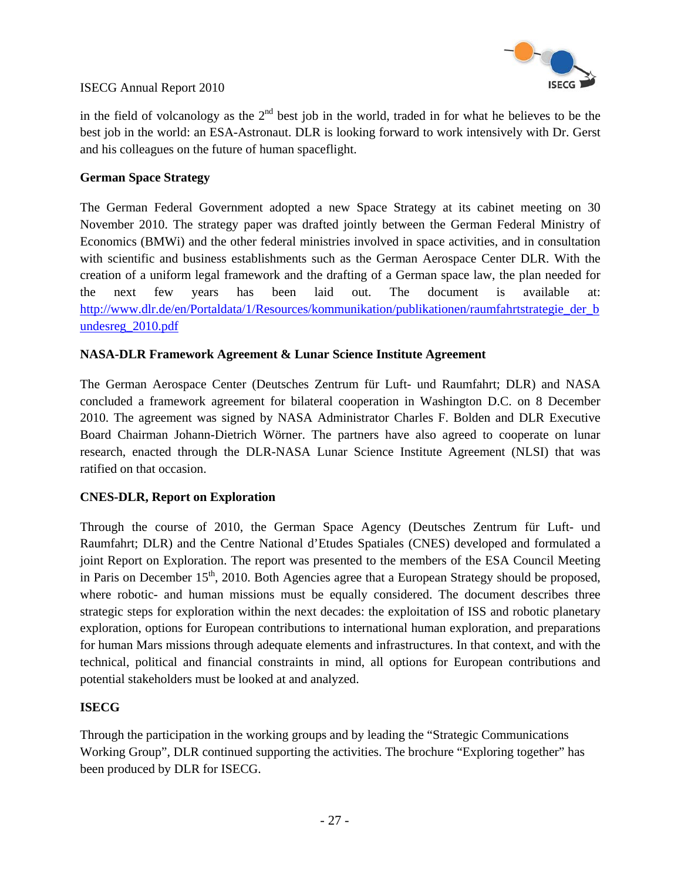

in the field of volcanology as the  $2<sup>nd</sup>$  best job in the world, traded in for what he believes to be the best job in the world: an ESA-Astronaut. DLR is looking forward to work intensively with Dr. Gerst and his colleagues on the future of human spaceflight.

#### **German Space Strategy**

The German Federal Government adopted a new Space Strategy at its cabinet meeting on 30 November 2010. The strategy paper was drafted jointly between the German Federal Ministry of Economics (BMWi) and the other federal ministries involved in space activities, and in consultation with scientific and business establishments such as the German Aerospace Center DLR. With the creation of a uniform legal framework and the drafting of a German space law, the plan needed for the next few years has been laid out. The document is available at: [http://www.dlr.de/en/Portaldata/1/Resources/kommunikation/publikationen/raumfahrtstrategie\\_der\\_b](http://www.dlr.de/en/Portaldata/1/Resources/kommunikation/publikationen/raumfahrtstrategie_der_bundesreg_2010.pdf) [undesreg\\_2010.pdf](http://www.dlr.de/en/Portaldata/1/Resources/kommunikation/publikationen/raumfahrtstrategie_der_bundesreg_2010.pdf)

#### **NASA-DLR Framework Agreement & Lunar Science Institute Agreement**

The German Aerospace Center (Deutsches Zentrum für Luft- und Raumfahrt; DLR) and NASA concluded a framework agreement for bilateral cooperation in Washington D.C. on 8 December 2010. The agreement was signed by NASA Administrator Charles F. Bolden and DLR Executive Board Chairman Johann-Dietrich Wörner. The partners have also agreed to cooperate on lunar research, enacted through the DLR-NASA Lunar Science Institute Agreement (NLSI) that was ratified on that occasion.

#### **CNES-DLR, Report on Exploration**

Through the course of 2010, the German Space Agency (Deutsches Zentrum für Luft- und Raumfahrt; DLR) and the Centre National d'Etudes Spatiales (CNES) developed and formulated a joint Report on Exploration. The report was presented to the members of the ESA Council Meeting in Paris on December  $15<sup>th</sup>$ , 2010. Both Agencies agree that a European Strategy should be proposed, where robotic- and human missions must be equally considered. The document describes three strategic steps for exploration within the next decades: the exploitation of ISS and robotic planetary exploration, options for European contributions to international human exploration, and preparations for human Mars missions through adequate elements and infrastructures. In that context, and with the technical, political and financial constraints in mind, all options for European contributions and potential stakeholders must be looked at and analyzed.

#### **ISECG**

Through the participation in the working groups and by leading the "Strategic Communications Working Group", DLR continued supporting the activities. The brochure "Exploring together" has been produced by DLR for ISECG.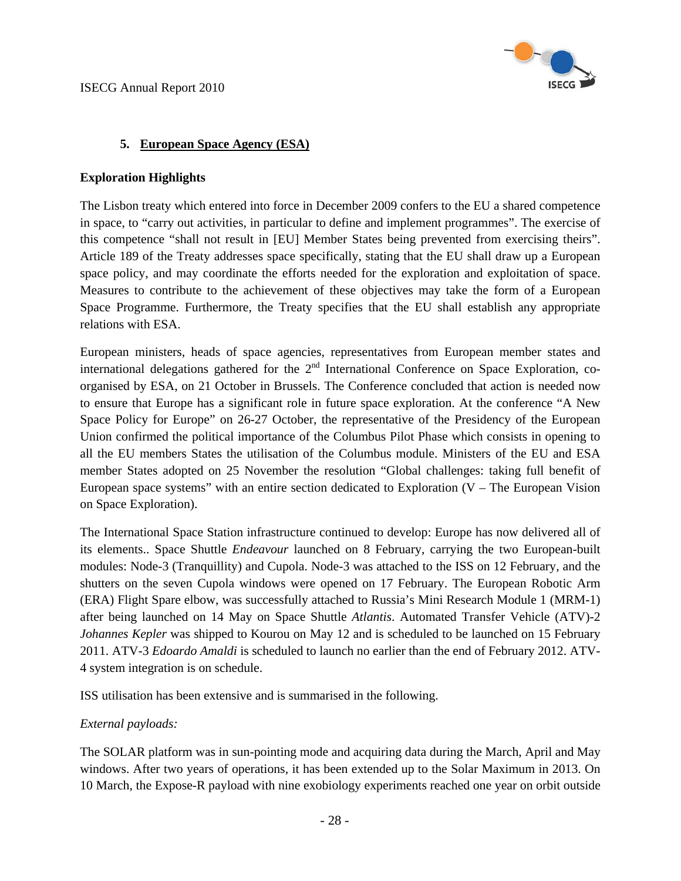

#### **5. European Space Agency (ESA)**

#### **Exploration Highlights**

The Lisbon treaty which entered into force in December 2009 confers to the EU a shared competence in space, to "carry out activities, in particular to define and implement programmes". The exercise of this competence "shall not result in [EU] Member States being prevented from exercising theirs". Article 189 of the Treaty addresses space specifically, stating that the EU shall draw up a European space policy, and may coordinate the efforts needed for the exploration and exploitation of space. Measures to contribute to the achievement of these objectives may take the form of a European Space Programme. Furthermore, the Treaty specifies that the EU shall establish any appropriate relations with ESA.

European ministers, heads of space agencies, representatives from European member states and international delegations gathered for the  $2<sup>nd</sup>$  International Conference on Space Exploration, coorganised by ESA, on 21 October in Brussels. The Conference concluded that action is needed now to ensure that Europe has a significant role in future space exploration. At the conference "A New Space Policy for Europe" on 26-27 October, the representative of the Presidency of the European Union confirmed the political importance of the Columbus Pilot Phase which consists in opening to all the EU members States the utilisation of the Columbus module. Ministers of the EU and ESA member States adopted on 25 November the resolution "Global challenges: taking full benefit of European space systems" with an entire section dedicated to Exploration  $(V - The European Vision)$ on Space Exploration).

The International Space Station infrastructure continued to develop: Europe has now delivered all of its elements.. Space Shuttle *Endeavour* launched on 8 February, carrying the two European-built modules: Node-3 (Tranquillity) and Cupola. Node-3 was attached to the ISS on 12 February, and the shutters on the seven Cupola windows were opened on 17 February. The European Robotic Arm (ERA) Flight Spare elbow, was successfully attached to Russia's Mini Research Module 1 (MRM-1) after being launched on 14 May on Space Shuttle *Atlantis*. Automated Transfer Vehicle (ATV)-2 *Johannes Kepler* was shipped to Kourou on May 12 and is scheduled to be launched on 15 February 2011. ATV-3 *Edoardo Amaldi* is scheduled to launch no earlier than the end of February 2012. ATV-4 system integration is on schedule.

ISS utilisation has been extensive and is summarised in the following.

#### *External payloads:*

The SOLAR platform was in sun-pointing mode and acquiring data during the March, April and May windows. After two years of operations, it has been extended up to the Solar Maximum in 2013. On 10 March, the Expose-R payload with nine exobiology experiments reached one year on orbit outside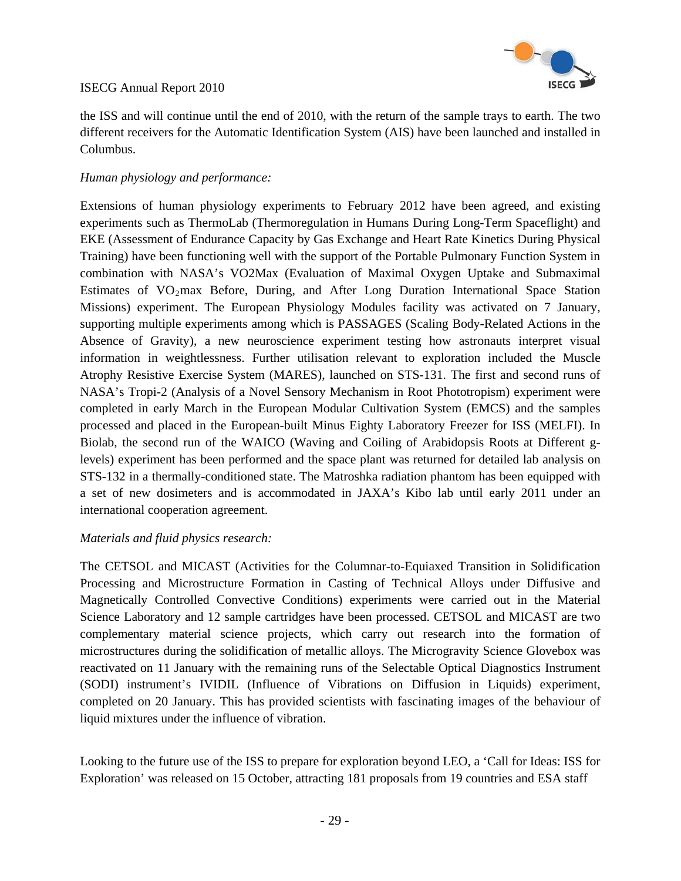

the ISS and will continue until the end of 2010, with the return of the sample trays to earth. The two different receivers for the Automatic Identification System (AIS) have been launched and installed in Columbus.

#### *Human physiology and performance:*

Extensions of human physiology experiments to February 2012 have been agreed, and existing experiments such as ThermoLab (Thermoregulation in Humans During Long-Term Spaceflight) and EKE (Assessment of Endurance Capacity by Gas Exchange and Heart Rate Kinetics During Physical Training) have been functioning well with the support of the Portable Pulmonary Function System in combination with NASA's VO2Max (Evaluation of Maximal Oxygen Uptake and Submaximal Estimates of  $VO<sub>2</sub>max$  Before, During, and After Long Duration International Space Station Missions) experiment. The European Physiology Modules facility was activated on 7 January, supporting multiple experiments among which is PASSAGES (Scaling Body-Related Actions in the Absence of Gravity), a new neuroscience experiment testing how astronauts interpret visual information in weightlessness. Further utilisation relevant to exploration included the Muscle Atrophy Resistive Exercise System (MARES), launched on STS-131. The first and second runs of NASA's Tropi-2 (Analysis of a Novel Sensory Mechanism in Root Phototropism) experiment were completed in early March in the European Modular Cultivation System (EMCS) and the samples processed and placed in the European-built Minus Eighty Laboratory Freezer for ISS (MELFI). In Biolab, the second run of the WAICO (Waving and Coiling of Arabidopsis Roots at Different glevels) experiment has been performed and the space plant was returned for detailed lab analysis on STS-132 in a thermally-conditioned state. The Matroshka radiation phantom has been equipped with a set of new dosimeters and is accommodated in JAXA's Kibo lab until early 2011 under an international cooperation agreement.

#### *Materials and fluid physics research:*

The CETSOL and MICAST (Activities for the Columnar-to-Equiaxed Transition in Solidification Processing and Microstructure Formation in Casting of Technical Alloys under Diffusive and Magnetically Controlled Convective Conditions) experiments were carried out in the Material Science Laboratory and 12 sample cartridges have been processed. CETSOL and MICAST are two complementary material science projects, which carry out research into the formation of microstructures during the solidification of metallic alloys. The Microgravity Science Glovebox was reactivated on 11 January with the remaining runs of the Selectable Optical Diagnostics Instrument (SODI) instrument's IVIDIL (Influence of Vibrations on Diffusion in Liquids) experiment, completed on 20 January. This has provided scientists with fascinating images of the behaviour of liquid mixtures under the influence of vibration.

Looking to the future use of the ISS to prepare for exploration beyond LEO, a 'Call for Ideas: ISS for Exploration' was released on 15 October, attracting 181 proposals from 19 countries and ESA staff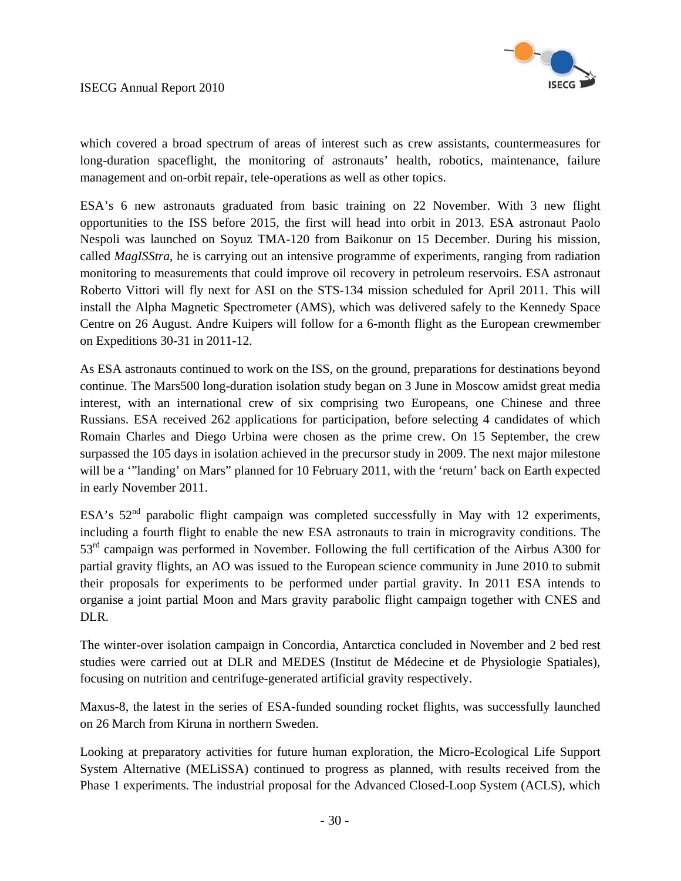

which covered a broad spectrum of areas of interest such as crew assistants, countermeasures for long-duration spaceflight, the monitoring of astronauts' health, robotics, maintenance, failure management and on-orbit repair, tele-operations as well as other topics.

ESA's 6 new astronauts graduated from basic training on 22 November. With 3 new flight opportunities to the ISS before 2015, the first will head into orbit in 2013. ESA astronaut Paolo Nespoli was launched on Soyuz TMA-120 from Baikonur on 15 December. During his mission, called *MagISStra*, he is carrying out an intensive programme of experiments, ranging from radiation monitoring to measurements that could improve oil recovery in petroleum reservoirs. ESA astronaut Roberto Vittori will fly next for ASI on the STS-134 mission scheduled for April 2011. This will install the Alpha Magnetic Spectrometer (AMS), which was delivered safely to the Kennedy Space Centre on 26 August. Andre Kuipers will follow for a 6-month flight as the European crewmember on Expeditions 30-31 in 2011-12.

As ESA astronauts continued to work on the ISS, on the ground, preparations for destinations beyond continue. The Mars500 long-duration isolation study began on 3 June in Moscow amidst great media interest, with an international crew of six comprising two Europeans, one Chinese and three Russians. ESA received 262 applications for participation, before selecting 4 candidates of which Romain Charles and Diego Urbina were chosen as the prime crew. On 15 September, the crew surpassed the 105 days in isolation achieved in the precursor study in 2009. The next major milestone will be a "landing' on Mars" planned for 10 February 2011, with the 'return' back on Earth expected in early November 2011.

ESA's  $52<sup>nd</sup>$  parabolic flight campaign was completed successfully in May with 12 experiments, including a fourth flight to enable the new ESA astronauts to train in microgravity conditions. The 53<sup>rd</sup> campaign was performed in November. Following the full certification of the Airbus A300 for partial gravity flights, an AO was issued to the European science community in June 2010 to submit their proposals for experiments to be performed under partial gravity. In 2011 ESA intends to organise a joint partial Moon and Mars gravity parabolic flight campaign together with CNES and DLR.

The winter-over isolation campaign in Concordia, Antarctica concluded in November and 2 bed rest studies were carried out at DLR and MEDES (Institut de Médecine et de Physiologie Spatiales), focusing on nutrition and centrifuge-generated artificial gravity respectively.

Maxus-8, the latest in the series of ESA-funded sounding rocket flights, was successfully launched on 26 March from Kiruna in northern Sweden.

Looking at preparatory activities for future human exploration, the Micro-Ecological Life Support System Alternative (MELiSSA) continued to progress as planned, with results received from the Phase 1 experiments. The industrial proposal for the Advanced Closed-Loop System (ACLS), which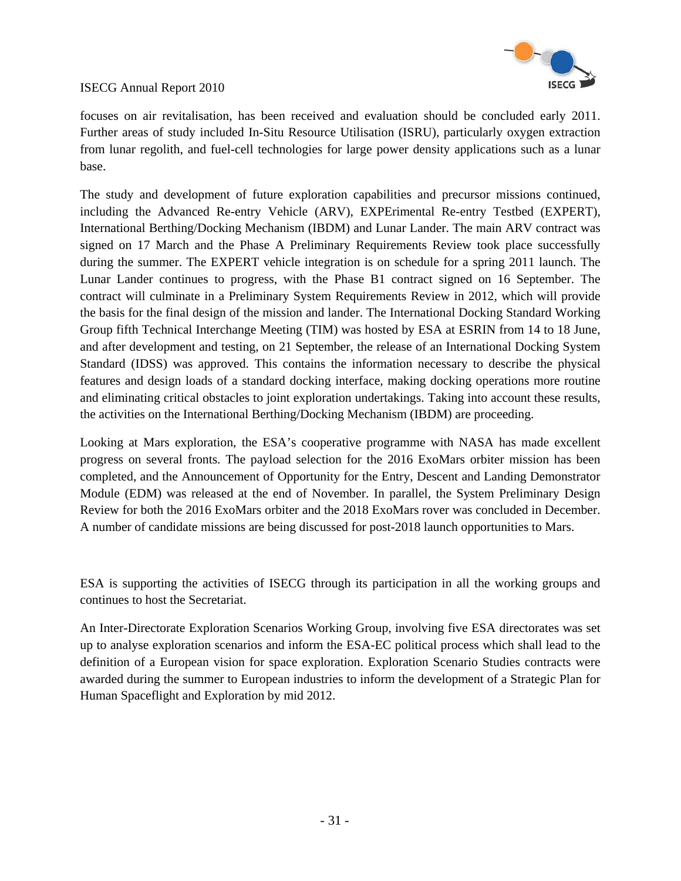

focuses on air revitalisation, has been received and evaluation should be concluded early 2011. Further areas of study included In-Situ Resource Utilisation (ISRU), particularly oxygen extraction from lunar regolith, and fuel-cell technologies for large power density applications such as a lunar base.

The study and development of future exploration capabilities and precursor missions continued, including the Advanced Re-entry Vehicle (ARV), EXPErimental Re-entry Testbed (EXPERT), International Berthing/Docking Mechanism (IBDM) and Lunar Lander. The main ARV contract was signed on 17 March and the Phase A Preliminary Requirements Review took place successfully during the summer. The EXPERT vehicle integration is on schedule for a spring 2011 launch. The Lunar Lander continues to progress, with the Phase B1 contract signed on 16 September. The contract will culminate in a Preliminary System Requirements Review in 2012, which will provide the basis for the final design of the mission and lander. The International Docking Standard Working Group fifth Technical Interchange Meeting (TIM) was hosted by ESA at ESRIN from 14 to 18 June, and after development and testing, on 21 September, the release of an International Docking System Standard (IDSS) was approved. This contains the information necessary to describe the physical features and design loads of a standard docking interface, making docking operations more routine and eliminating critical obstacles to joint exploration undertakings. Taking into account these results, the activities on the International Berthing/Docking Mechanism (IBDM) are proceeding.

Looking at Mars exploration, the ESA's cooperative programme with NASA has made excellent progress on several fronts. The payload selection for the 2016 ExoMars orbiter mission has been completed, and the Announcement of Opportunity for the Entry, Descent and Landing Demonstrator Module (EDM) was released at the end of November. In parallel, the System Preliminary Design Review for both the 2016 ExoMars orbiter and the 2018 ExoMars rover was concluded in December. A number of candidate missions are being discussed for post-2018 launch opportunities to Mars.

ESA is supporting the activities of ISECG through its participation in all the working groups and continues to host the Secretariat.

An Inter-Directorate Exploration Scenarios Working Group, involving five ESA directorates was set up to analyse exploration scenarios and inform the ESA-EC political process which shall lead to the definition of a European vision for space exploration. Exploration Scenario Studies contracts were awarded during the summer to European industries to inform the development of a Strategic Plan for Human Spaceflight and Exploration by mid 2012.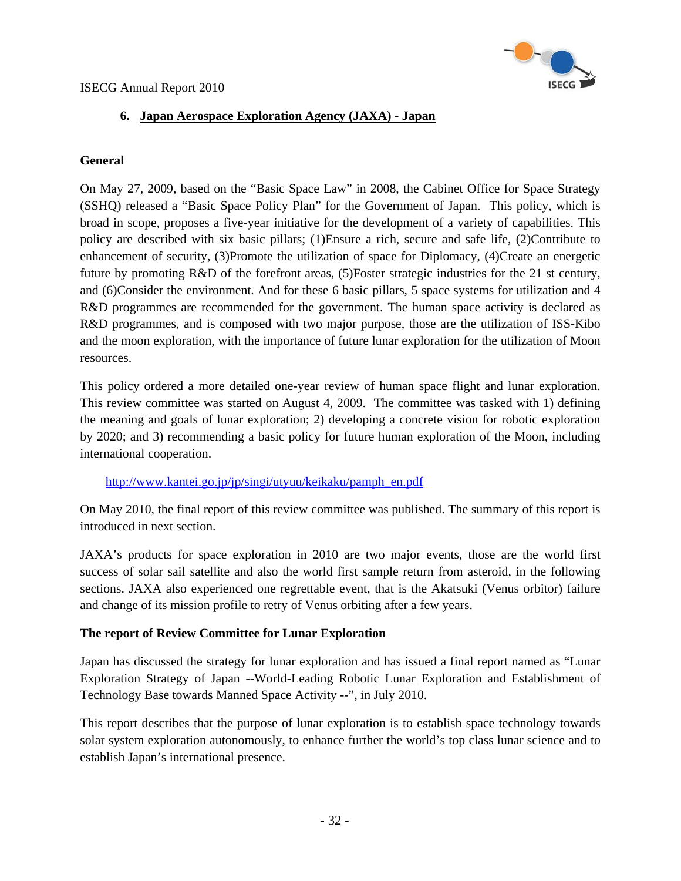

#### **6. Japan Aerospace Exploration Agency (JAXA) - Japan**

#### **General**

On May 27, 2009, based on the "Basic Space Law" in 2008, the Cabinet Office for Space Strategy (SSHQ) released a "Basic Space Policy Plan" for the Government of Japan. This policy, which is broad in scope, proposes a five-year initiative for the development of a variety of capabilities. This policy are described with six basic pillars; (1)Ensure a rich, secure and safe life, (2)Contribute to enhancement of security, (3)Promote the utilization of space for Diplomacy, (4)Create an energetic future by promoting R&D of the forefront areas, (5)Foster strategic industries for the 21 st century, and (6)Consider the environment. And for these 6 basic pillars, 5 space systems for utilization and 4 R&D programmes are recommended for the government. The human space activity is declared as R&D programmes, and is composed with two major purpose, those are the utilization of ISS-Kibo and the moon exploration, with the importance of future lunar exploration for the utilization of Moon resources.

This policy ordered a more detailed one-year review of human space flight and lunar exploration. This review committee was started on August 4, 2009. The committee was tasked with 1) defining the meaning and goals of lunar exploration; 2) developing a concrete vision for robotic exploration by 2020; and 3) recommending a basic policy for future human exploration of the Moon, including international cooperation.

[http://www.kantei.go.jp/jp/singi/utyuu/keikaku/pamph\\_en.pdf](http://www.kantei.go.jp/jp/singi/utyuu/keikaku/pamph_en.pdf)

On May 2010, the final report of this review committee was published. The summary of this report is introduced in next section.

JAXA's products for space exploration in 2010 are two major events, those are the world first success of solar sail satellite and also the world first sample return from asteroid, in the following sections. JAXA also experienced one regrettable event, that is the Akatsuki (Venus orbitor) failure and change of its mission profile to retry of Venus orbiting after a few years.

#### **The report of Review Committee for Lunar Exploration**

Japan has discussed the strategy for lunar exploration and has issued a final report named as "Lunar Exploration Strategy of Japan --World-Leading Robotic Lunar Exploration and Establishment of Technology Base towards Manned Space Activity --", in July 2010.

This report describes that the purpose of lunar exploration is to establish space technology towards solar system exploration autonomously, to enhance further the world's top class lunar science and to establish Japan's international presence.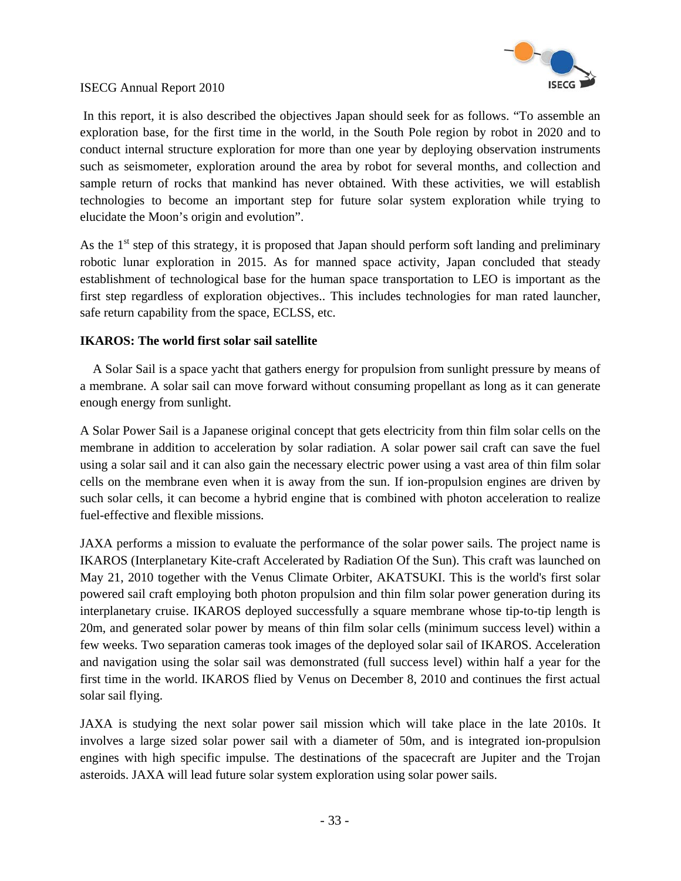

 In this report, it is also described the objectives Japan should seek for as follows. "To assemble an exploration base, for the first time in the world, in the South Pole region by robot in 2020 and to conduct internal structure exploration for more than one year by deploying observation instruments such as seismometer, exploration around the area by robot for several months, and collection and sample return of rocks that mankind has never obtained. With these activities, we will establish technologies to become an important step for future solar system exploration while trying to elucidate the Moon's origin and evolution".

As the  $1<sup>st</sup>$  step of this strategy, it is proposed that Japan should perform soft landing and preliminary robotic lunar exploration in 2015. As for manned space activity, Japan concluded that steady establishment of technological base for the human space transportation to LEO is important as the first step regardless of exploration objectives.. This includes technologies for man rated launcher, safe return capability from the space, ECLSS, etc.

#### **IKAROS: The world first solar sail satellite**

A Solar Sail is a space yacht that gathers energy for propulsion from sunlight pressure by means of a membrane. A solar sail can move forward without consuming propellant as long as it can generate enough energy from sunlight.

A Solar Power Sail is a Japanese original concept that gets electricity from thin film solar cells on the membrane in addition to acceleration by solar radiation. A solar power sail craft can save the fuel using a solar sail and it can also gain the necessary electric power using a vast area of thin film solar cells on the membrane even when it is away from the sun. If ion-propulsion engines are driven by such solar cells, it can become a hybrid engine that is combined with photon acceleration to realize fuel-effective and flexible missions.

JAXA performs a mission to evaluate the performance of the solar power sails. The project name is IKAROS (Interplanetary Kite-craft Accelerated by Radiation Of the Sun). This craft was launched on May 21, 2010 together with the Venus Climate Orbiter, AKATSUKI. This is the world's first solar powered sail craft employing both photon propulsion and thin film solar power generation during its interplanetary cruise. IKAROS deployed successfully a square membrane whose tip-to-tip length is 20m, and generated solar power by means of thin film solar cells (minimum success level) within a few weeks. Two separation cameras took images of the deployed solar sail of IKAROS. Acceleration and navigation using the solar sail was demonstrated (full success level) within half a year for the first time in the world. IKAROS flied by Venus on December 8, 2010 and continues the first actual solar sail flying.

JAXA is studying the next solar power sail mission which will take place in the late 2010s. It involves a large sized solar power sail with a diameter of 50m, and is integrated ion-propulsion engines with high specific impulse. The destinations of the spacecraft are Jupiter and the Trojan asteroids. JAXA will lead future solar system exploration using solar power sails.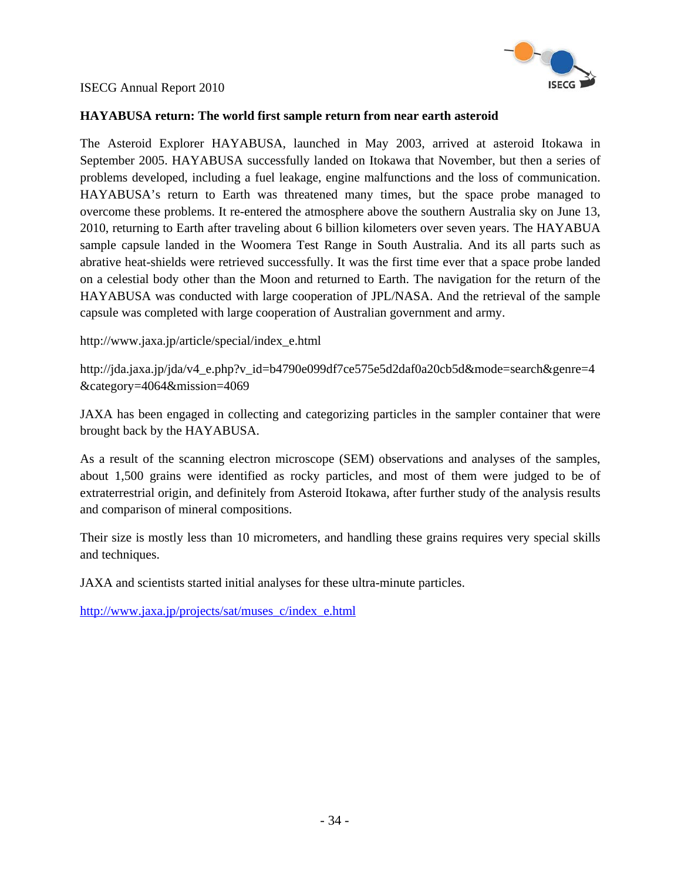

#### **HAYABUSA return: The world first sample return from near earth asteroid**

The Asteroid Explorer HAYABUSA, launched in May 2003, arrived at asteroid Itokawa in September 2005. HAYABUSA successfully landed on Itokawa that November, but then a series of problems developed, including a fuel leakage, engine malfunctions and the loss of communication. HAYABUSA's return to Earth was threatened many times, but the space probe managed to overcome these problems. It re-entered the atmosphere above the southern Australia sky on June 13, 2010, returning to Earth after traveling about 6 billion kilometers over seven years. The HAYABUA sample capsule landed in the Woomera Test Range in South Australia. And its all parts such as abrative heat-shields were retrieved successfully. It was the first time ever that a space probe landed on a celestial body other than the Moon and returned to Earth. The navigation for the return of the HAYABUSA was conducted with large cooperation of JPL/NASA. And the retrieval of the sample capsule was completed with large cooperation of Australian government and army.

http://www.jaxa.jp/article/special/index\_e.html

http://jda.jaxa.jp/jda/v4\_e.php?v\_id=b4790e099df7ce575e5d2daf0a20cb5d&mode=search&genre=4 &category=4064&mission=4069

JAXA has been engaged in collecting and categorizing particles in the sampler container that were brought back by the HAYABUSA.

As a result of the scanning electron microscope (SEM) observations and analyses of the samples, about 1,500 grains were identified as rocky particles, and most of them were judged to be of extraterrestrial origin, and definitely from Asteroid Itokawa, after further study of the analysis results and comparison of mineral compositions.

Their size is mostly less than 10 micrometers, and handling these grains requires very special skills and techniques.

JAXA and scientists started initial analyses for these ultra-minute particles.

[http://www.jaxa.jp/projects/sat/muses\\_c/index\\_e.html](http://www.jaxa.jp/projects/sat/muses_c/index_e.html)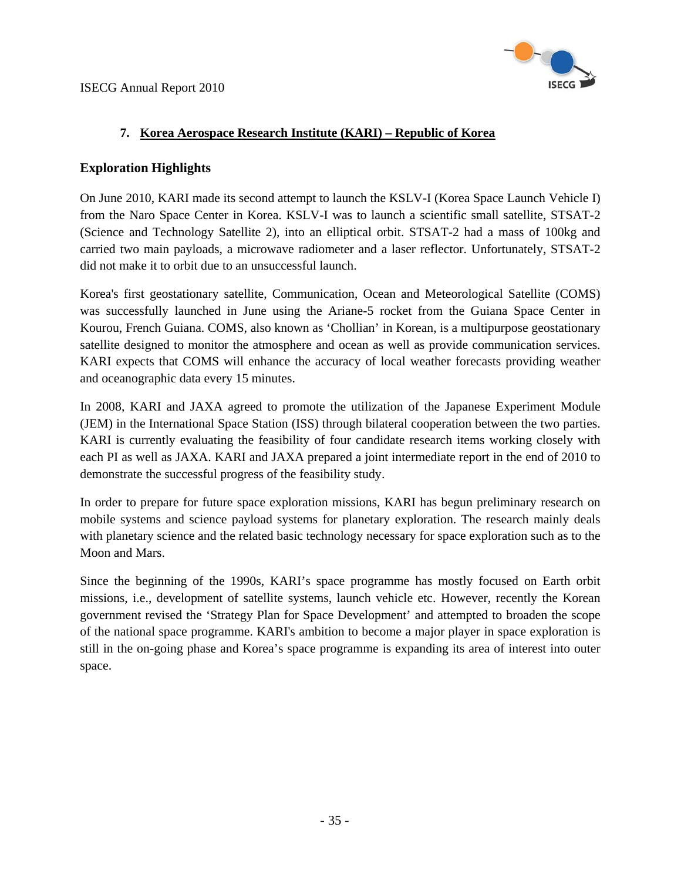

### **7. Korea Aerospace Research Institute (KARI) – Republic of Korea**

#### **Exploration Highlights**

On June 2010, KARI made its second attempt to launch the KSLV-I (Korea Space Launch Vehicle I) from the Naro Space Center in Korea. KSLV-I was to launch a scientific small satellite, STSAT-2 (Science and Technology Satellite 2), into an elliptical orbit. STSAT-2 had a mass of 100kg and carried two main payloads, a microwave radiometer and a laser reflector. Unfortunately, STSAT-2 did not make it to orbit due to an unsuccessful launch.

Korea's first geostationary satellite, Communication, Ocean and Meteorological Satellite (COMS) was successfully launched in June using the Ariane-5 rocket from the Guiana Space Center in Kourou, French Guiana. COMS, also known as 'Chollian' in Korean, is a multipurpose geostationary satellite designed to monitor the atmosphere and ocean as well as provide communication services. KARI expects that COMS will enhance the accuracy of local weather forecasts providing weather and oceanographic data every 15 minutes.

In 2008, KARI and JAXA agreed to promote the utilization of the Japanese Experiment Module (JEM) in the International Space Station (ISS) through bilateral cooperation between the two parties. KARI is currently evaluating the feasibility of four candidate research items working closely with each PI as well as JAXA. KARI and JAXA prepared a joint intermediate report in the end of 2010 to demonstrate the successful progress of the feasibility study.

In order to prepare for future space exploration missions, KARI has begun preliminary research on mobile systems and science payload systems for planetary exploration. The research mainly deals with planetary science and the related basic technology necessary for space exploration such as to the Moon and Mars.

Since the beginning of the 1990s, KARI's space programme has mostly focused on Earth orbit missions, i.e., development of satellite systems, launch vehicle etc. However, recently the Korean government revised the 'Strategy Plan for Space Development' and attempted to broaden the scope of the national space programme. KARI's ambition to become a major player in space exploration is still in the on-going phase and Korea's space programme is expanding its area of interest into outer space.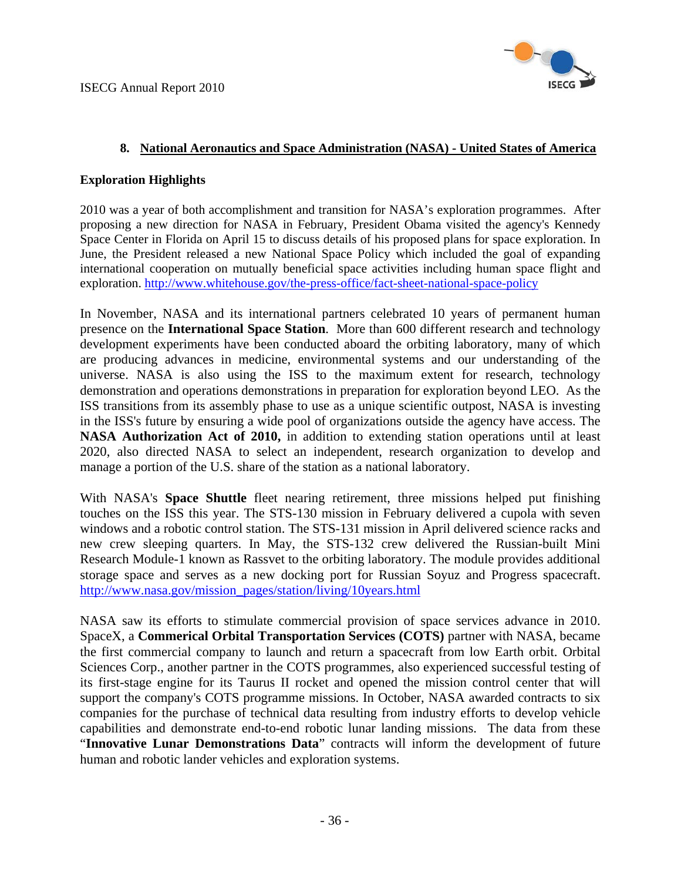

#### **8. National Aeronautics and Space Administration (NASA) - United States of America**

#### **Exploration Highlights**

2010 was a year of both accomplishment and transition for NASA's exploration programmes. After proposing a new direction for NASA in February, President Obama visited the agency's Kennedy Space Center in Florida on April 15 to discuss details of his proposed plans for space exploration. In June, the President released a new National Space Policy which included the goal of expanding international cooperation on mutually beneficial space activities including human space flight and exploration.<http://www.whitehouse.gov/the-press-office/fact-sheet-national-space-policy>

In November, NASA and its international partners celebrated 10 years of permanent human presence on the **International Space Station**. More than 600 different research and technology development experiments have been conducted aboard the orbiting laboratory, many of which are producing advances in medicine, environmental systems and our understanding of the universe. NASA is also using the ISS to the maximum extent for research, technology demonstration and operations demonstrations in preparation for exploration beyond LEO. As the ISS transitions from its assembly phase to use as a unique scientific outpost, NASA is investing in the ISS's future by ensuring a wide pool of organizations outside the agency have access. The **NASA Authorization Act of 2010,** in addition to extending station operations until at least 2020, also directed NASA to select an independent, research organization to develop and manage a portion of the U.S. share of the station as a national laboratory.

With NASA's **Space Shuttle** fleet nearing retirement, three missions helped put finishing touches on the ISS this year. The STS-130 mission in February delivered a cupola with seven windows and a robotic control station. The STS-131 mission in April delivered science racks and new crew sleeping quarters. In May, the STS-132 crew delivered the Russian-built Mini Research Module-1 known as Rassvet to the orbiting laboratory. The module provides additional storage space and serves as a new docking port for Russian Soyuz and Progress spacecraft. [http://www.nasa.gov/mission\\_pages/station/living/10years.html](http://www.nasa.gov/mission_pages/station/living/10years.html)

NASA saw its efforts to stimulate commercial provision of space services advance in 2010. SpaceX, a **Commerical Orbital Transportation Services (COTS)** partner with NASA, became the first commercial company to launch and return a spacecraft from low Earth orbit. Orbital Sciences Corp., another partner in the COTS programmes, also experienced successful testing of its first-stage engine for its Taurus II rocket and opened the mission control center that will support the company's COTS programme missions. In October, NASA awarded contracts to six companies for the purchase of technical data resulting from industry efforts to develop vehicle capabilities and demonstrate end-to-end robotic lunar landing missions. The data from these "**Innovative Lunar Demonstrations Data**" contracts will inform the development of future human and robotic lander vehicles and exploration systems.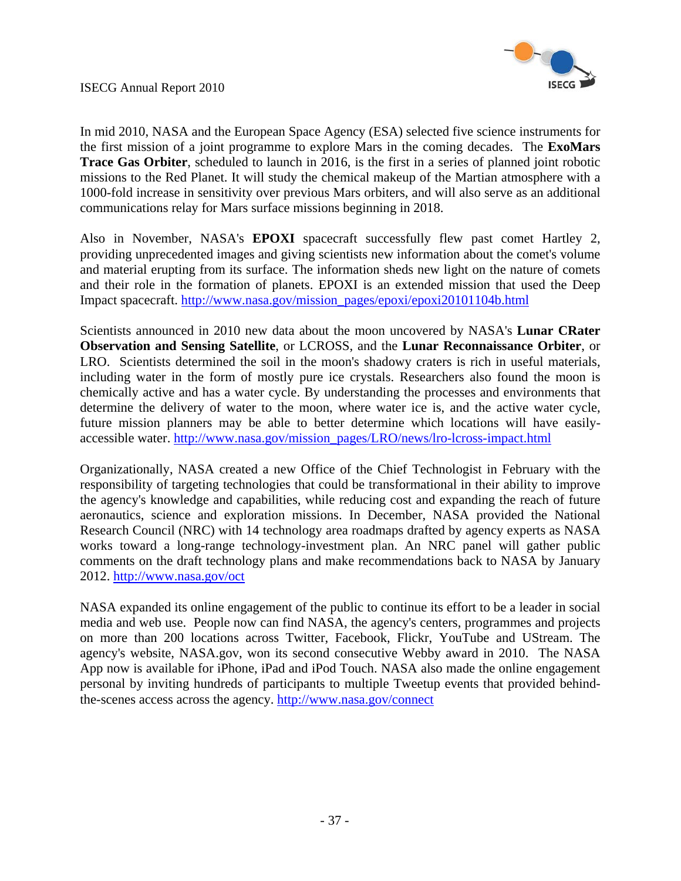

In mid 2010, NASA and the European Space Agency (ESA) selected five science instruments for the first mission of a joint programme to explore Mars in the coming decades. The **ExoMars Trace Gas Orbiter**, scheduled to launch in 2016, is the first in a series of planned joint robotic missions to the Red Planet. It will study the chemical makeup of the Martian atmosphere with a 1000-fold increase in sensitivity over previous Mars orbiters, and will also serve as an additional communications relay for Mars surface missions beginning in 2018.

Also in November, NASA's **EPOXI** spacecraft successfully flew past comet Hartley 2, providing unprecedented images and giving scientists new information about the comet's volume and material erupting from its surface. The information sheds new light on the nature of comets and their role in the formation of planets. EPOXI is an extended mission that used the Deep Impact spacecraft. [http://www.nasa.gov/mission\\_pages/epoxi/epoxi20101104b.html](http://www.nasa.gov/mission_pages/epoxi/epoxi20101104b.html) 

Scientists announced in 2010 new data about the moon uncovered by NASA's **Lunar CRater Observation and Sensing Satellite**, or LCROSS, and the **Lunar Reconnaissance Orbiter**, or LRO. Scientists determined the soil in the moon's shadowy craters is rich in useful materials, including water in the form of mostly pure ice crystals. Researchers also found the moon is chemically active and has a water cycle. By understanding the processes and environments that determine the delivery of water to the moon, where water ice is, and the active water cycle, future mission planners may be able to better determine which locations will have easilyaccessible water. [http://www.nasa.gov/mission\\_pages/LRO/news/lro-lcross-impact.html](http://www.nasa.gov/mission_pages/LRO/news/lro-lcross-impact.html) 

Organizationally, NASA created a new Office of the Chief Technologist in February with the responsibility of targeting technologies that could be transformational in their ability to improve the agency's knowledge and capabilities, while reducing cost and expanding the reach of future aeronautics, science and exploration missions. In December, NASA provided the National Research Council (NRC) with 14 technology area roadmaps drafted by agency experts as NASA works toward a long-range technology-investment plan. An NRC panel will gather public comments on the draft technology plans and make recommendations back to NASA by January 2012.<http://www.nasa.gov/oct>

NASA expanded its online engagement of the public to continue its effort to be a leader in social media and web use. People now can find NASA, the agency's centers, programmes and projects on more than 200 locations across Twitter, Facebook, Flickr, YouTube and UStream. The agency's website, NASA.gov, won its second consecutive Webby award in 2010. The NASA App now is available for iPhone, iPad and iPod Touch. NASA also made the online engagement personal by inviting hundreds of participants to multiple Tweetup events that provided behindthe-scenes access across the agency.<http://www.nasa.gov/connect>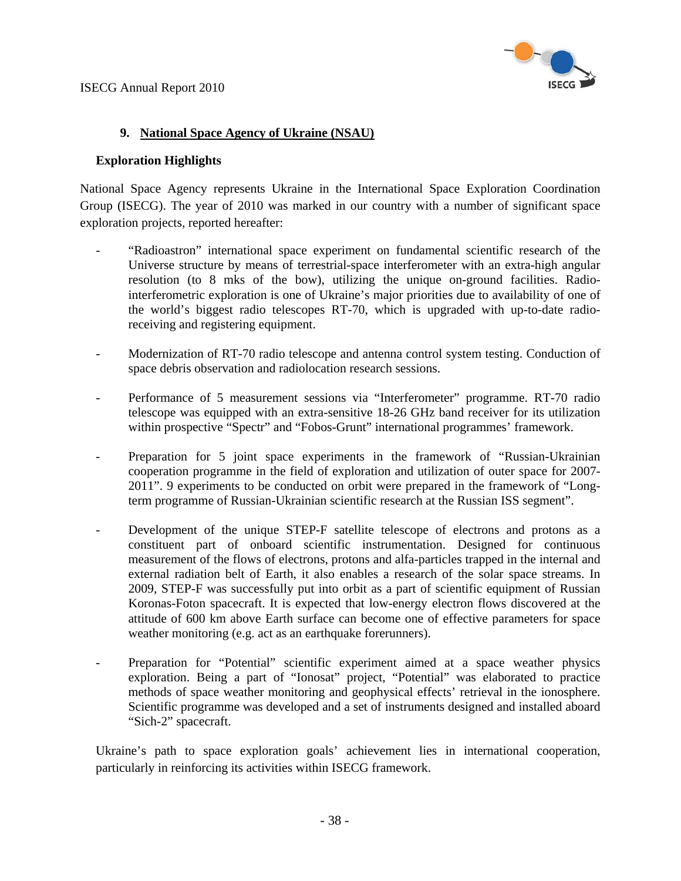

#### **9. National Space Agency of Ukraine (NSAU)**

#### **Exploration Highlights**

National Space Agency represents Ukraine in the International Space Exploration Coordination Group (ISECG). The year of 2010 was marked in our country with a number of significant space exploration projects, reported hereafter:

- "Radioastron" international space experiment on fundamental scientific research of the Universe structure by means of terrestrial-space interferometer with an extra-high angular resolution (to 8 mks of the bow), utilizing the unique on-ground facilities. Radiointerferometric exploration is one of Ukraine's major priorities due to availability of one of the world's biggest radio telescopes RT-70, which is upgraded with up-to-date radioreceiving and registering equipment.
- Modernization of RT-70 radio telescope and antenna control system testing. Conduction of space debris observation and radiolocation research sessions.
- Performance of 5 measurement sessions via "Interferometer" programme. RT-70 radio telescope was equipped with an extra-sensitive 18-26 GHz band receiver for its utilization within prospective "Spectr" and "Fobos-Grunt" international programmes' framework.
- Preparation for 5 joint space experiments in the framework of "Russian-Ukrainian cooperation programme in the field of exploration and utilization of outer space for 2007- 2011". 9 experiments to be conducted on orbit were prepared in the framework of "Longterm programme of Russian-Ukrainian scientific research at the Russian ISS segment".
- Development of the unique STEP-F satellite telescope of electrons and protons as a constituent part of onboard scientific instrumentation. Designed for continuous measurement of the flows of electrons, protons and alfa-particles trapped in the internal and external radiation belt of Earth, it also enables a research of the solar space streams. In 2009, STEP-F was successfully put into orbit as a part of scientific equipment of Russian Koronas-Foton spacecraft. It is expected that low-energy electron flows discovered at the attitude of 600 km above Earth surface can become one of effective parameters for space weather monitoring (e.g. act as an earthquake forerunners).
	- Preparation for "Potential" scientific experiment aimed at a space weather physics exploration. Being a part of "Ionosat" project, "Potential" was elaborated to practice methods of space weather monitoring and geophysical effects' retrieval in the ionosphere. Scientific programme was developed and a set of instruments designed and installed aboard "Sich-2" spacecraft.

Ukraine's path to space exploration goals' achievement lies in international cooperation, particularly in reinforcing its activities within ISECG framework.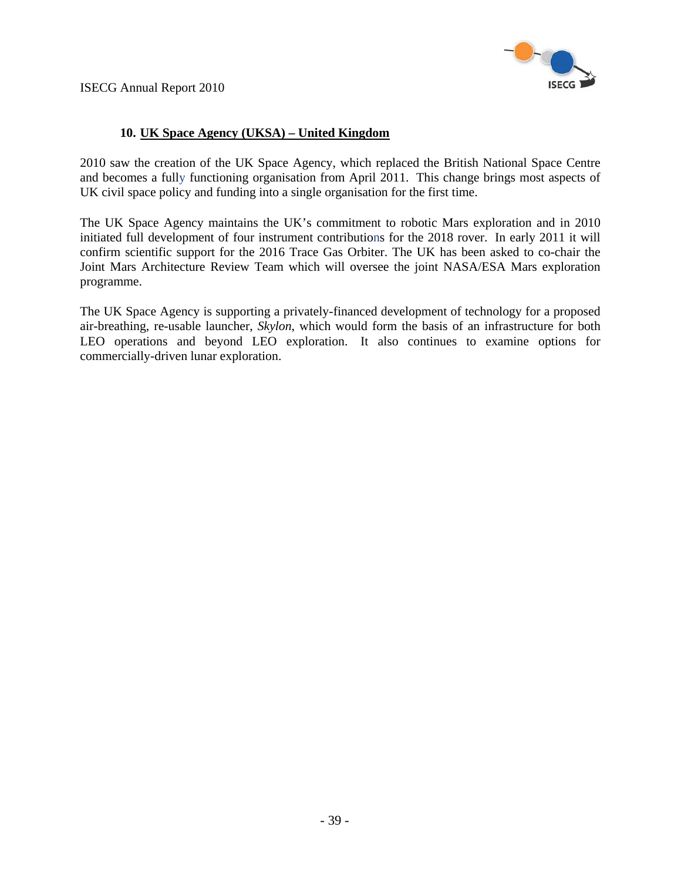

#### **10. UK Space Agency (UKSA) – United Kingdom**

2010 saw the creation of the UK Space Agency, which replaced the British National Space Centre and becomes a fully functioning organisation from April 2011. This change brings most aspects of UK civil space policy and funding into a single organisation for the first time.

The UK Space Agency maintains the UK's commitment to robotic Mars exploration and in 2010 initiated full development of four instrument contributions for the 2018 rover. In early 2011 it will confirm scientific support for the 2016 Trace Gas Orbiter. The UK has been asked to co-chair the Joint Mars Architecture Review Team which will oversee the joint NASA/ESA Mars exploration programme.

The UK Space Agency is supporting a privately-financed development of technology for a proposed air-breathing, re-usable launcher, *Skylon*, which would form the basis of an infrastructure for both LEO operations and beyond LEO exploration. It also continues to examine options for commercially-driven lunar exploration.